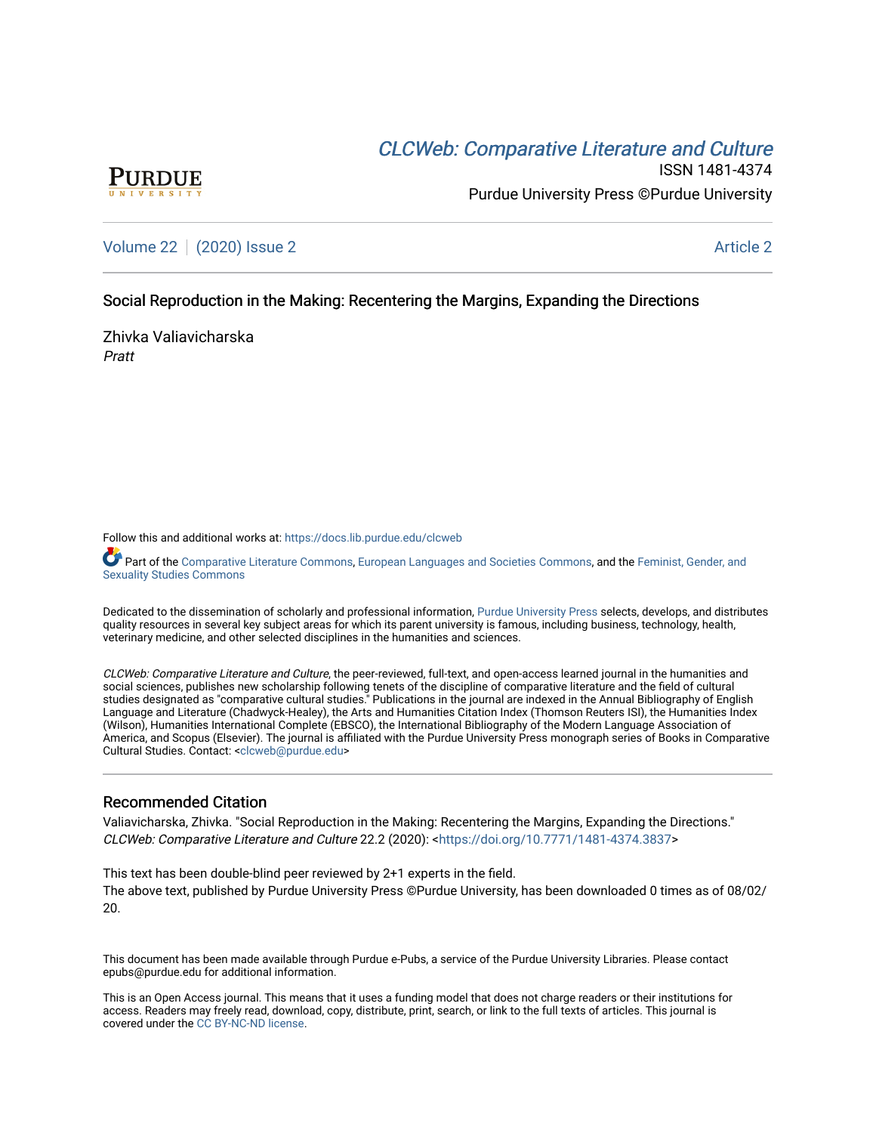# CLCW[eb: Comparative Liter](https://docs.lib.purdue.edu/clcweb)ature and Culture



ISSN 1481-4374 Purdue University Press ©Purdue University

[Volume 22](https://docs.lib.purdue.edu/clcweb/vol22) | [\(2020\) Issue 2](https://docs.lib.purdue.edu/clcweb/vol22/iss2) Article 2

# Social Reproduction in the Making: Recentering the Margins, Expanding the Directions

Zhivka Valiavicharska Pratt

Follow this and additional works at: [https://docs.lib.purdue.edu/clcweb](https://docs.lib.purdue.edu/clcweb?utm_source=docs.lib.purdue.edu%2Fclcweb%2Fvol22%2Fiss2%2F2&utm_medium=PDF&utm_campaign=PDFCoverPages)

Part of the [Comparative Literature Commons,](http://network.bepress.com/hgg/discipline/454?utm_source=docs.lib.purdue.edu%2Fclcweb%2Fvol22%2Fiss2%2F2&utm_medium=PDF&utm_campaign=PDFCoverPages) [European Languages and Societies Commons,](http://network.bepress.com/hgg/discipline/482?utm_source=docs.lib.purdue.edu%2Fclcweb%2Fvol22%2Fiss2%2F2&utm_medium=PDF&utm_campaign=PDFCoverPages) and the Feminist, Gender, and [Sexuality Studies Commons](http://network.bepress.com/hgg/discipline/559?utm_source=docs.lib.purdue.edu%2Fclcweb%2Fvol22%2Fiss2%2F2&utm_medium=PDF&utm_campaign=PDFCoverPages)

Dedicated to the dissemination of scholarly and professional information, [Purdue University Press](http://www.thepress.purdue.edu/) selects, develops, and distributes quality resources in several key subject areas for which its parent university is famous, including business, technology, health, veterinary medicine, and other selected disciplines in the humanities and sciences.

CLCWeb: Comparative Literature and Culture, the peer-reviewed, full-text, and open-access learned journal in the humanities and social sciences, publishes new scholarship following tenets of the discipline of comparative literature and the field of cultural studies designated as "comparative cultural studies." Publications in the journal are indexed in the Annual Bibliography of English Language and Literature (Chadwyck-Healey), the Arts and Humanities Citation Index (Thomson Reuters ISI), the Humanities Index (Wilson), Humanities International Complete (EBSCO), the International Bibliography of the Modern Language Association of America, and Scopus (Elsevier). The journal is affiliated with the Purdue University Press monograph series of Books in Comparative Cultural Studies. Contact: [<clcweb@purdue.edu](mailto:clcweb@purdue.edu)>

# Recommended Citation

Valiavicharska, Zhivka. "Social Reproduction in the Making: Recentering the Margins, Expanding the Directions." CLCWeb: Comparative Literature and Culture 22.2 (2020): <[https://doi.org/10.7771/1481-4374.3837>](https://doi.org/10.7771/1481-4374.3837)

This text has been double-blind peer reviewed by 2+1 experts in the field. The above text, published by Purdue University Press ©Purdue University, has been downloaded 0 times as of 08/02/ 20.

This document has been made available through Purdue e-Pubs, a service of the Purdue University Libraries. Please contact epubs@purdue.edu for additional information.

This is an Open Access journal. This means that it uses a funding model that does not charge readers or their institutions for access. Readers may freely read, download, copy, distribute, print, search, or link to the full texts of articles. This journal is covered under the [CC BY-NC-ND license.](https://creativecommons.org/licenses/by-nc-nd/4.0/)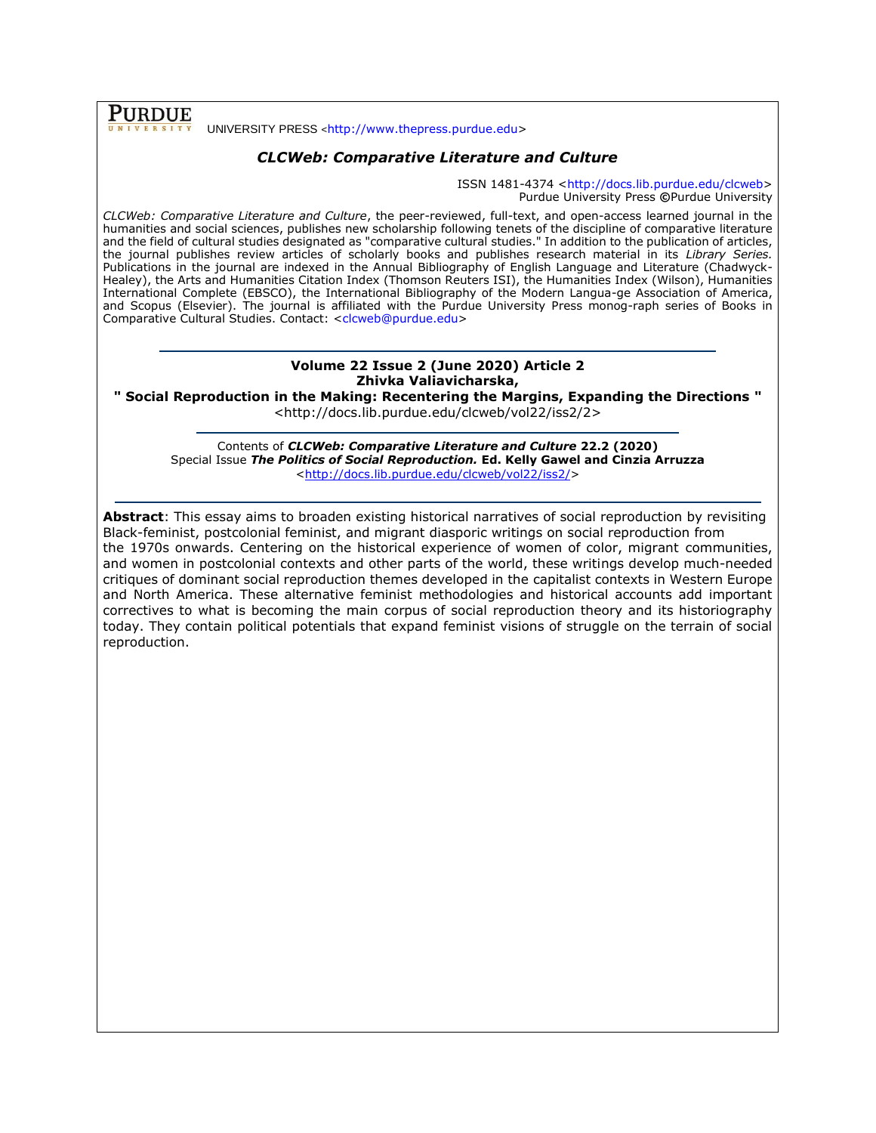**PURDUE** 

#### UNIVERSITY PRESS <[http://www.thepress.purdue.edu>](http://www.thepress.purdue.edu/)

## *CLCWeb: Comparative Literature and Culture*

ISSN 1481-4374 [<http://docs.lib.purdue.edu/clcweb>](http://docs.lib.purdue.edu/clcweb) Purdue University Press **©**Purdue University

*CLCWeb: Comparative Literature and Culture*, the peer-reviewed, full-text, and open-access learned journal in the humanities and social sciences, publishes new scholarship following tenets of the discipline of comparative literature and the field of cultural studies designated as "comparative cultural studies." In addition to the publication of articles, the journal publishes review articles of scholarly books and publishes research material in its *Library Series.*  Publications in the journal are indexed in the Annual Bibliography of English Language and Literature (Chadwyck-Healey), the Arts and Humanities Citation Index (Thomson Reuters ISI), the Humanities Index (Wilson), Humanities International Complete (EBSCO), the International Bibliography of the Modern Langua-ge Association of America, and Scopus (Elsevier). The journal is affiliated with the Purdue University Press monog-raph series of Books in Comparative Cultural Studies. Contact: [<clcweb@purdue.edu>](mailto:clcweb@purdue.edu)

## **Volume 22 Issue 2 (June 2020) Article 2 Zhivka Valiavicharska,**

**" Social Reproduction in the Making: Recentering the Margins, Expanding the Directions "**

<http://docs.lib.purdue.edu/clcweb/vol22/iss2/2>

Contents of *CLCWeb: Comparative Literature and Culture* **22.2 (2020)** Special Issue *The Politics of Social Reproduction.* **Ed. Kelly Gawel and Cinzia Arruzza** [<http://docs.lib.purdue.edu/clcweb/vol22/iss2/>](http://docs.lib.purdue.edu/clcweb/vol22/iss2/)

**Abstract**: This essay aims to broaden existing historical narratives of social reproduction by revisiting Black-feminist, postcolonial feminist, and migrant diasporic writings on social reproduction from the 1970s onwards. Centering on the historical experience of women of color, migrant communities, and women in postcolonial contexts and other parts of the world, these writings develop much-needed critiques of dominant social reproduction themes developed in the capitalist contexts in Western Europe and North America. These alternative feminist methodologies and historical accounts add important correctives to what is becoming the main corpus of social reproduction theory and its historiography today. They contain political potentials that expand feminist visions of struggle on the terrain of social reproduction.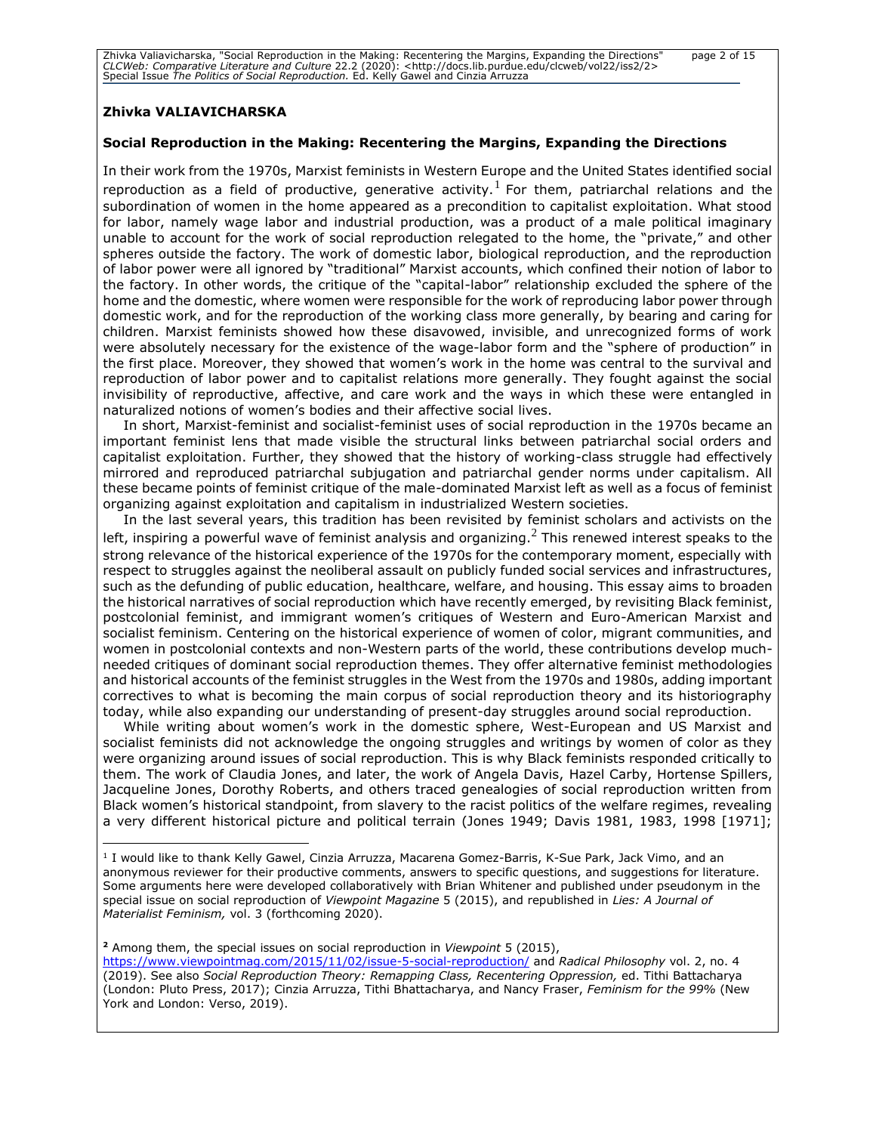Zhivka Valiavicharska, "Social Reproduction in the Making: Recentering the Margins, Expanding the Directions" page 2 of 15<br>CLCWeb: Comparative Literature and Culture 22.2 (2020): <http://docs.lib.purdue.edu/clcweb/vol22/is

#### **Zhivka VALIAVICHARSKA**

#### **Social Reproduction in the Making: Recentering the Margins, Expanding the Directions**

In their work from the 1970s, Marxist feminists in Western Europe and the United States identified social reproduction as a field of productive, generative activity.<sup>1</sup> For them, patriarchal relations and the subordination of women in the home appeared as a precondition to capitalist exploitation. What stood for labor, namely wage labor and industrial production, was a product of a male political imaginary unable to account for the work of social reproduction relegated to the home, the "private," and other spheres outside the factory. The work of domestic labor, biological reproduction, and the reproduction of labor power were all ignored by "traditional" Marxist accounts, which confined their notion of labor to the factory. In other words, the critique of the "capital-labor" relationship excluded the sphere of the home and the domestic, where women were responsible for the work of reproducing labor power through domestic work, and for the reproduction of the working class more generally, by bearing and caring for children. Marxist feminists showed how these disavowed, invisible, and unrecognized forms of work were absolutely necessary for the existence of the wage-labor form and the "sphere of production" in the first place. Moreover, they showed that women's work in the home was central to the survival and reproduction of labor power and to capitalist relations more generally. They fought against the social invisibility of reproductive, affective, and care work and the ways in which these were entangled in naturalized notions of women's bodies and their affective social lives.

In short, Marxist-feminist and socialist-feminist uses of social reproduction in the 1970s became an important feminist lens that made visible the structural links between patriarchal social orders and capitalist exploitation. Further, they showed that the history of working-class struggle had effectively mirrored and reproduced patriarchal subjugation and patriarchal gender norms under capitalism. All these became points of feminist critique of the male-dominated Marxist left as well as a focus of feminist organizing against exploitation and capitalism in industrialized Western societies.

In the last several years, this tradition has been revisited by feminist scholars and activists on the left, inspiring a powerful wave of feminist analysis and organizing.<sup>2</sup> This renewed interest speaks to the strong relevance of the historical experience of the 1970s for the contemporary moment, especially with respect to struggles against the neoliberal assault on publicly funded social services and infrastructures, such as the defunding of public education, healthcare, welfare, and housing. This essay aims to broaden the historical narratives of social reproduction which have recently emerged, by revisiting Black feminist, postcolonial feminist, and immigrant women's critiques of Western and Euro-American Marxist and socialist feminism. Centering on the historical experience of women of color, migrant communities, and women in postcolonial contexts and non-Western parts of the world, these contributions develop muchneeded critiques of dominant social reproduction themes. They offer alternative feminist methodologies and historical accounts of the feminist struggles in the West from the 1970s and 1980s, adding important correctives to what is becoming the main corpus of social reproduction theory and its historiography today, while also expanding our understanding of present-day struggles around social reproduction.

While writing about women's work in the domestic sphere, West-European and US Marxist and socialist feminists did not acknowledge the ongoing struggles and writings by women of color as they were organizing around issues of social reproduction. This is why Black feminists responded critically to them. The work of Claudia Jones, and later, the work of Angela Davis, Hazel Carby, Hortense Spillers, Jacqueline Jones, Dorothy Roberts, and others traced genealogies of social reproduction written from Black women's historical standpoint, from slavery to the racist politics of the welfare regimes, revealing a very different historical picture and political terrain (Jones 1949; Davis 1981, 1983, 1998 [1971];

**<sup>2</sup>** Among them, the special issues on social reproduction in *Viewpoint* 5 (2015),

<https://www.viewpointmag.com/2015/11/02/issue-5-social-reproduction/> and *Radical Philosophy* vol. 2, no. 4 (2019). See also *Social Reproduction Theory: Remapping Class, Recentering Oppression,* ed. Tithi Battacharya (London: Pluto Press, 2017); Cinzia Arruzza, Tithi Bhattacharya, and Nancy Fraser, *Feminism for the 99%* (New York and London: Verso, 2019).

<sup>1</sup> I would like to thank Kelly Gawel, Cinzia Arruzza, Macarena Gomez-Barris, K-Sue Park, Jack Vimo, and an anonymous reviewer for their productive comments, answers to specific questions, and suggestions for literature. Some arguments here were developed collaboratively with Brian Whitener and published under pseudonym in the special issue on social reproduction of *Viewpoint Magazine* 5 (2015), and republished in *Lies: A Journal of Materialist Feminism,* vol. 3 (forthcoming 2020).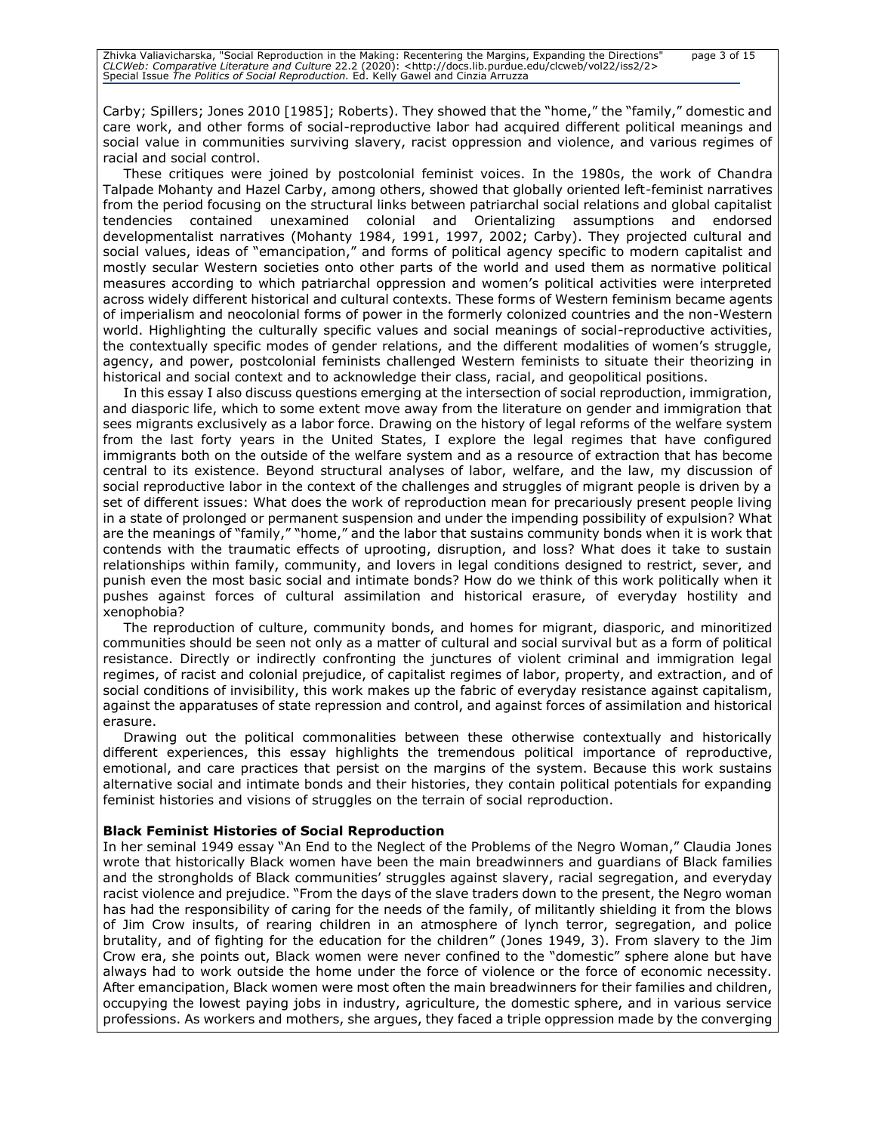Carby; Spillers; Jones 2010 [1985]; Roberts). They showed that the "home," the "family," domestic and care work, and other forms of social-reproductive labor had acquired different political meanings and social value in communities surviving slavery, racist oppression and violence, and various regimes of racial and social control.

These critiques were joined by postcolonial feminist voices. In the 1980s, the work of Chandra Talpade Mohanty and Hazel Carby, among others, showed that globally oriented left-feminist narratives from the period focusing on the structural links between patriarchal social relations and global capitalist tendencies contained unexamined colonial and Orientalizing assumptions and endorsed developmentalist narratives (Mohanty 1984, 1991, 1997, 2002; Carby). They projected cultural and social values, ideas of "emancipation," and forms of political agency specific to modern capitalist and mostly secular Western societies onto other parts of the world and used them as normative political measures according to which patriarchal oppression and women's political activities were interpreted across widely different historical and cultural contexts. These forms of Western feminism became agents of imperialism and neocolonial forms of power in the formerly colonized countries and the non-Western world. Highlighting the culturally specific values and social meanings of social-reproductive activities, the contextually specific modes of gender relations, and the different modalities of women's struggle, agency, and power, postcolonial feminists challenged Western feminists to situate their theorizing in historical and social context and to acknowledge their class, racial, and geopolitical positions.

In this essay I also discuss questions emerging at the intersection of social reproduction, immigration, and diasporic life, which to some extent move away from the literature on gender and immigration that sees migrants exclusively as a labor force. Drawing on the history of legal reforms of the welfare system from the last forty years in the United States, I explore the legal regimes that have configured immigrants both on the outside of the welfare system and as a resource of extraction that has become central to its existence. Beyond structural analyses of labor, welfare, and the law, my discussion of social reproductive labor in the context of the challenges and struggles of migrant people is driven by a set of different issues: What does the work of reproduction mean for precariously present people living in a state of prolonged or permanent suspension and under the impending possibility of expulsion? What are the meanings of "family," "home," and the labor that sustains community bonds when it is work that contends with the traumatic effects of uprooting, disruption, and loss? What does it take to sustain relationships within family, community, and lovers in legal conditions designed to restrict, sever, and punish even the most basic social and intimate bonds? How do we think of this work politically when it pushes against forces of cultural assimilation and historical erasure, of everyday hostility and xenophobia?

The reproduction of culture, community bonds, and homes for migrant, diasporic, and minoritized communities should be seen not only as a matter of cultural and social survival but as a form of political resistance. Directly or indirectly confronting the junctures of violent criminal and immigration legal regimes, of racist and colonial prejudice, of capitalist regimes of labor, property, and extraction, and of social conditions of invisibility, this work makes up the fabric of everyday resistance against capitalism, against the apparatuses of state repression and control, and against forces of assimilation and historical erasure.

Drawing out the political commonalities between these otherwise contextually and historically different experiences, this essay highlights the tremendous political importance of reproductive, emotional, and care practices that persist on the margins of the system. Because this work sustains alternative social and intimate bonds and their histories, they contain political potentials for expanding feminist histories and visions of struggles on the terrain of social reproduction.

#### **Black Feminist Histories of Social Reproduction**

In her seminal 1949 essay "An End to the Neglect of the Problems of the Negro Woman," Claudia Jones wrote that historically Black women have been the main breadwinners and guardians of Black families and the strongholds of Black communities' struggles against slavery, racial segregation, and everyday racist violence and prejudice. "From the days of the slave traders down to the present, the Negro woman has had the responsibility of caring for the needs of the family, of militantly shielding it from the blows of Jim Crow insults, of rearing children in an atmosphere of lynch terror, segregation, and police brutality, and of fighting for the education for the children" (Jones 1949, 3). From slavery to the Jim Crow era, she points out, Black women were never confined to the "domestic" sphere alone but have always had to work outside the home under the force of violence or the force of economic necessity. After emancipation, Black women were most often the main breadwinners for their families and children, occupying the lowest paying jobs in industry, agriculture, the domestic sphere, and in various service professions. As workers and mothers, she argues, they faced a triple oppression made by the converging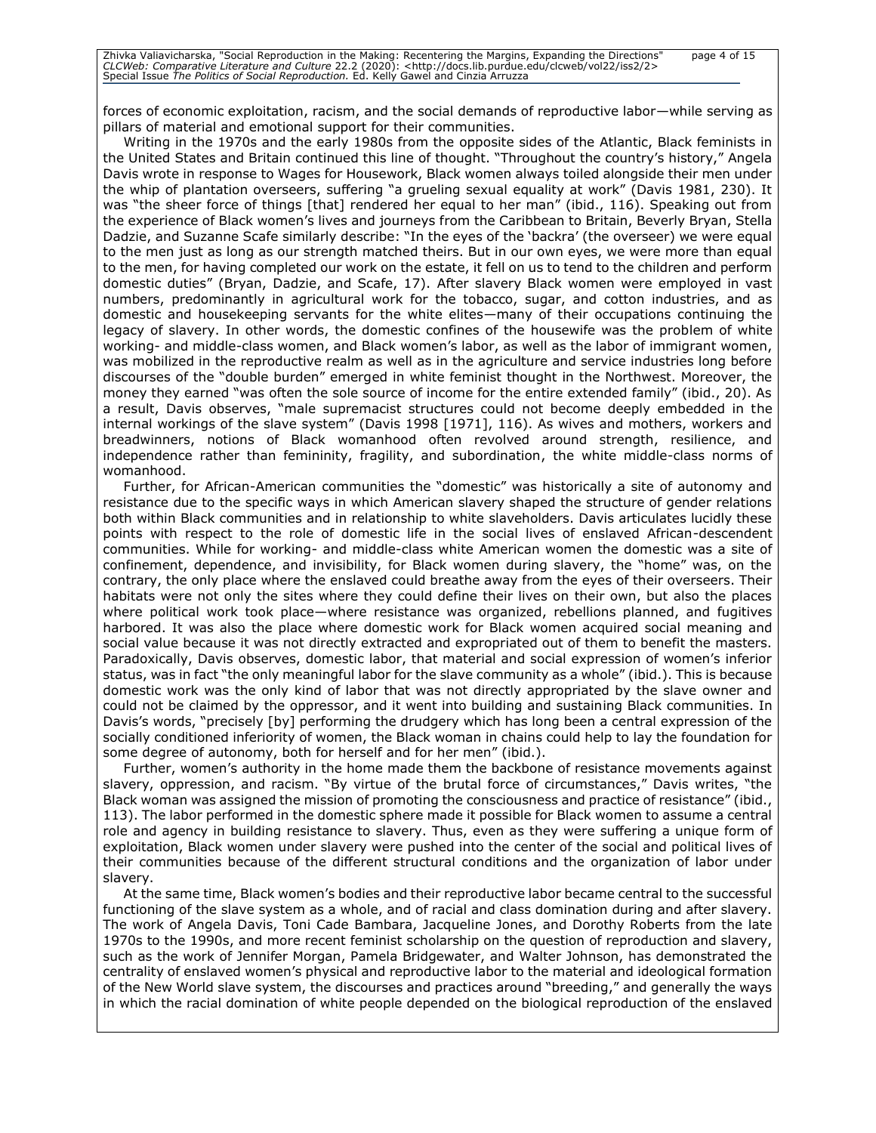| Zhivka Valiavicharska, "Social Reproduction in the Making: Recentering the Margins, Expanding the Directions"                  | page 4 of 15 |
|--------------------------------------------------------------------------------------------------------------------------------|--------------|
| CLCWeb: Comparative Literature and Culture 22.2 (2020): <http: 2="" clcweb="" docs.lib.purdue.edu="" iss2="" vol22=""></http:> |              |
| Special Issue The Politics of Social Reproduction. Ed. Kelly Gawel and Cinzia Arruzza                                          |              |

forces of economic exploitation, racism, and the social demands of reproductive labor—while serving as pillars of material and emotional support for their communities.

Writing in the 1970s and the early 1980s from the opposite sides of the Atlantic, Black feminists in the United States and Britain continued this line of thought. "Throughout the country's history," Angela Davis wrote in response to Wages for Housework, Black women always toiled alongside their men under the whip of plantation overseers, suffering "a grueling sexual equality at work" (Davis 1981, 230). It was "the sheer force of things [that] rendered her equal to her man" (ibid., 116). Speaking out from the experience of Black women's lives and journeys from the Caribbean to Britain, Beverly Bryan, Stella Dadzie, and Suzanne Scafe similarly describe: "In the eyes of the 'backra' (the overseer) we were equal to the men just as long as our strength matched theirs. But in our own eyes, we were more than equal to the men, for having completed our work on the estate, it fell on us to tend to the children and perform domestic duties" (Bryan, Dadzie, and Scafe, 17). After slavery Black women were employed in vast numbers, predominantly in agricultural work for the tobacco, sugar, and cotton industries, and as domestic and housekeeping servants for the white elites—many of their occupations continuing the legacy of slavery. In other words, the domestic confines of the housewife was the problem of white working- and middle-class women, and Black women's labor, as well as the labor of immigrant women, was mobilized in the reproductive realm as well as in the agriculture and service industries long before discourses of the "double burden" emerged in white feminist thought in the Northwest. Moreover, the money they earned "was often the sole source of income for the entire extended family" (ibid., 20). As a result, Davis observes, "male supremacist structures could not become deeply embedded in the internal workings of the slave system" (Davis 1998 [1971], 116). As wives and mothers, workers and breadwinners, notions of Black womanhood often revolved around strength, resilience, and independence rather than femininity, fragility, and subordination, the white middle-class norms of womanhood.

Further, for African-American communities the "domestic" was historically a site of autonomy and resistance due to the specific ways in which American slavery shaped the structure of gender relations both within Black communities and in relationship to white slaveholders. Davis articulates lucidly these points with respect to the role of domestic life in the social lives of enslaved African-descendent communities. While for working- and middle-class white American women the domestic was a site of confinement, dependence, and invisibility, for Black women during slavery, the "home" was, on the contrary, the only place where the enslaved could breathe away from the eyes of their overseers. Their habitats were not only the sites where they could define their lives on their own, but also the places where political work took place—where resistance was organized, rebellions planned, and fugitives harbored. It was also the place where domestic work for Black women acquired social meaning and social value because it was not directly extracted and expropriated out of them to benefit the masters. Paradoxically, Davis observes, domestic labor, that material and social expression of women's inferior status, was in fact "the only meaningful labor for the slave community as a whole" (ibid.). This is because domestic work was the only kind of labor that was not directly appropriated by the slave owner and could not be claimed by the oppressor, and it went into building and sustaining Black communities. In Davis's words, "precisely [by] performing the drudgery which has long been a central expression of the socially conditioned inferiority of women, the Black woman in chains could help to lay the foundation for some degree of autonomy, both for herself and for her men" (ibid.).

Further, women's authority in the home made them the backbone of resistance movements against slavery, oppression, and racism. "By virtue of the brutal force of circumstances," Davis writes, "the Black woman was assigned the mission of promoting the consciousness and practice of resistance" (ibid., 113). The labor performed in the domestic sphere made it possible for Black women to assume a central role and agency in building resistance to slavery. Thus, even as they were suffering a unique form of exploitation, Black women under slavery were pushed into the center of the social and political lives of their communities because of the different structural conditions and the organization of labor under slavery.

At the same time, Black women's bodies and their reproductive labor became central to the successful functioning of the slave system as a whole, and of racial and class domination during and after slavery. The work of Angela Davis, Toni Cade Bambara, Jacqueline Jones, and Dorothy Roberts from the late 1970s to the 1990s, and more recent feminist scholarship on the question of reproduction and slavery, such as the work of Jennifer Morgan, Pamela Bridgewater, and Walter Johnson, has demonstrated the centrality of enslaved women's physical and reproductive labor to the material and ideological formation of the New World slave system, the discourses and practices around "breeding," and generally the ways in which the racial domination of white people depended on the biological reproduction of the enslaved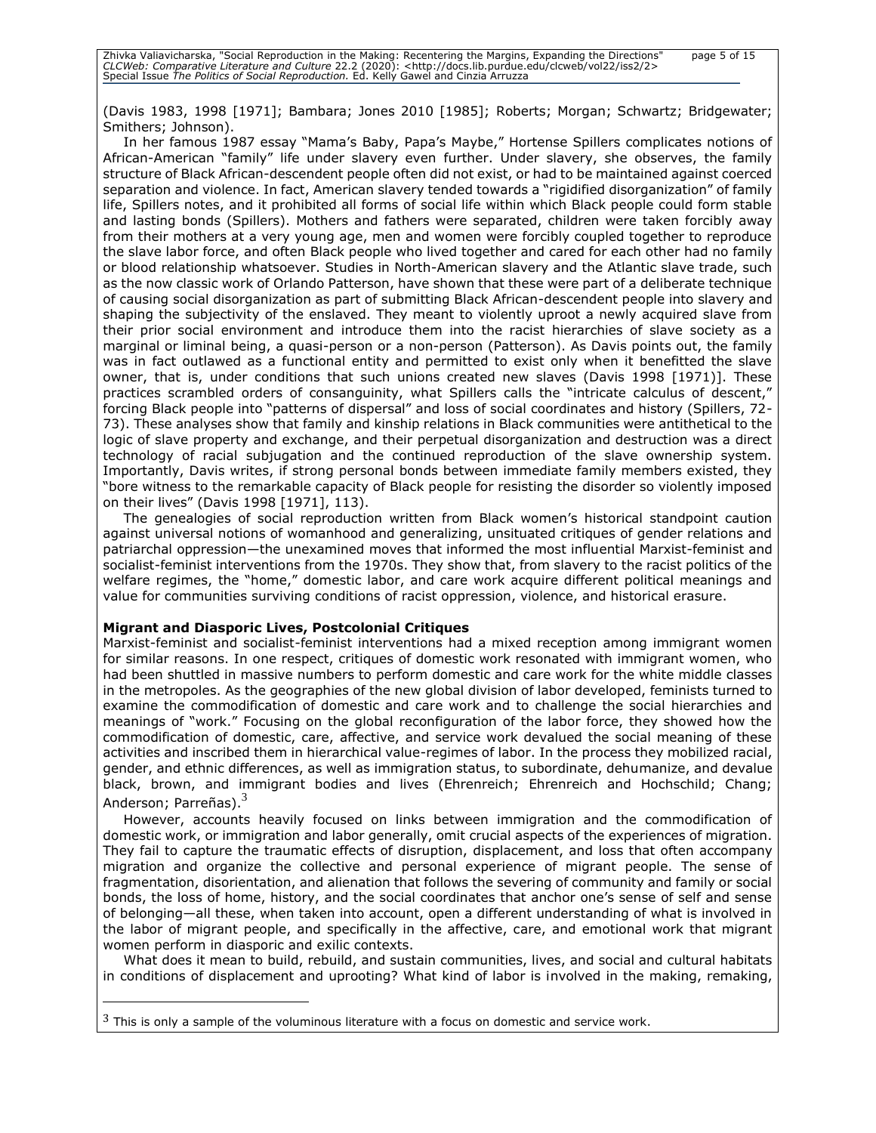(Davis 1983, 1998 [1971]; Bambara; Jones 2010 [1985]; Roberts; Morgan; Schwartz; Bridgewater; Smithers; Johnson).

In her famous 1987 essay "Mama's Baby, Papa's Maybe," Hortense Spillers complicates notions of African-American "family" life under slavery even further. Under slavery, she observes, the family structure of Black African-descendent people often did not exist, or had to be maintained against coerced separation and violence. In fact, American slavery tended towards a "rigidified disorganization" of family life, Spillers notes, and it prohibited all forms of social life within which Black people could form stable and lasting bonds (Spillers). Mothers and fathers were separated, children were taken forcibly away from their mothers at a very young age, men and women were forcibly coupled together to reproduce the slave labor force, and often Black people who lived together and cared for each other had no family or blood relationship whatsoever. Studies in North-American slavery and the Atlantic slave trade, such as the now classic work of Orlando Patterson, have shown that these were part of a deliberate technique of causing social disorganization as part of submitting Black African-descendent people into slavery and shaping the subjectivity of the enslaved. They meant to violently uproot a newly acquired slave from their prior social environment and introduce them into the racist hierarchies of slave society as a marginal or liminal being, a quasi-person or a non-person (Patterson). As Davis points out, the family was in fact outlawed as a functional entity and permitted to exist only when it benefitted the slave owner, that is, under conditions that such unions created new slaves (Davis 1998 [1971)]. These practices scrambled orders of consanguinity, what Spillers calls the "intricate calculus of descent,<sup>\*</sup> forcing Black people into "patterns of dispersal" and loss of social coordinates and history (Spillers, 72- 73). These analyses show that family and kinship relations in Black communities were antithetical to the logic of slave property and exchange, and their perpetual disorganization and destruction was a direct technology of racial subjugation and the continued reproduction of the slave ownership system. Importantly, Davis writes, if strong personal bonds between immediate family members existed, they "bore witness to the remarkable capacity of Black people for resisting the disorder so violently imposed on their lives" (Davis 1998 [1971], 113).

The genealogies of social reproduction written from Black women's historical standpoint caution against universal notions of womanhood and generalizing, unsituated critiques of gender relations and patriarchal oppression—the unexamined moves that informed the most influential Marxist-feminist and socialist-feminist interventions from the 1970s. They show that, from slavery to the racist politics of the welfare regimes, the "home," domestic labor, and care work acquire different political meanings and value for communities surviving conditions of racist oppression, violence, and historical erasure.

#### **Migrant and Diasporic Lives, Postcolonial Critiques**

Marxist-feminist and socialist-feminist interventions had a mixed reception among immigrant women for similar reasons. In one respect, critiques of domestic work resonated with immigrant women, who had been shuttled in massive numbers to perform domestic and care work for the white middle classes in the metropoles. As the geographies of the new global division of labor developed, feminists turned to examine the commodification of domestic and care work and to challenge the social hierarchies and meanings of "work." Focusing on the global reconfiguration of the labor force, they showed how the commodification of domestic, care, affective, and service work devalued the social meaning of these activities and inscribed them in hierarchical value-regimes of labor. In the process they mobilized racial, gender, and ethnic differences, as well as immigration status, to subordinate, dehumanize, and devalue black, brown, and immigrant bodies and lives (Ehrenreich; Ehrenreich and Hochschild; Chang; Anderson; Parreñas).<sup>3</sup>

However, accounts heavily focused on links between immigration and the commodification of domestic work, or immigration and labor generally, omit crucial aspects of the experiences of migration. They fail to capture the traumatic effects of disruption, displacement, and loss that often accompany migration and organize the collective and personal experience of migrant people. The sense of fragmentation, disorientation, and alienation that follows the severing of community and family or social bonds, the loss of home, history, and the social coordinates that anchor one's sense of self and sense of belonging—all these, when taken into account, open a different understanding of what is involved in the labor of migrant people, and specifically in the affective, care, and emotional work that migrant women perform in diasporic and exilic contexts.

What does it mean to build, rebuild, and sustain communities, lives, and social and cultural habitats in conditions of displacement and uprooting? What kind of labor is involved in the making, remaking,

 $3$  This is only a sample of the voluminous literature with a focus on domestic and service work.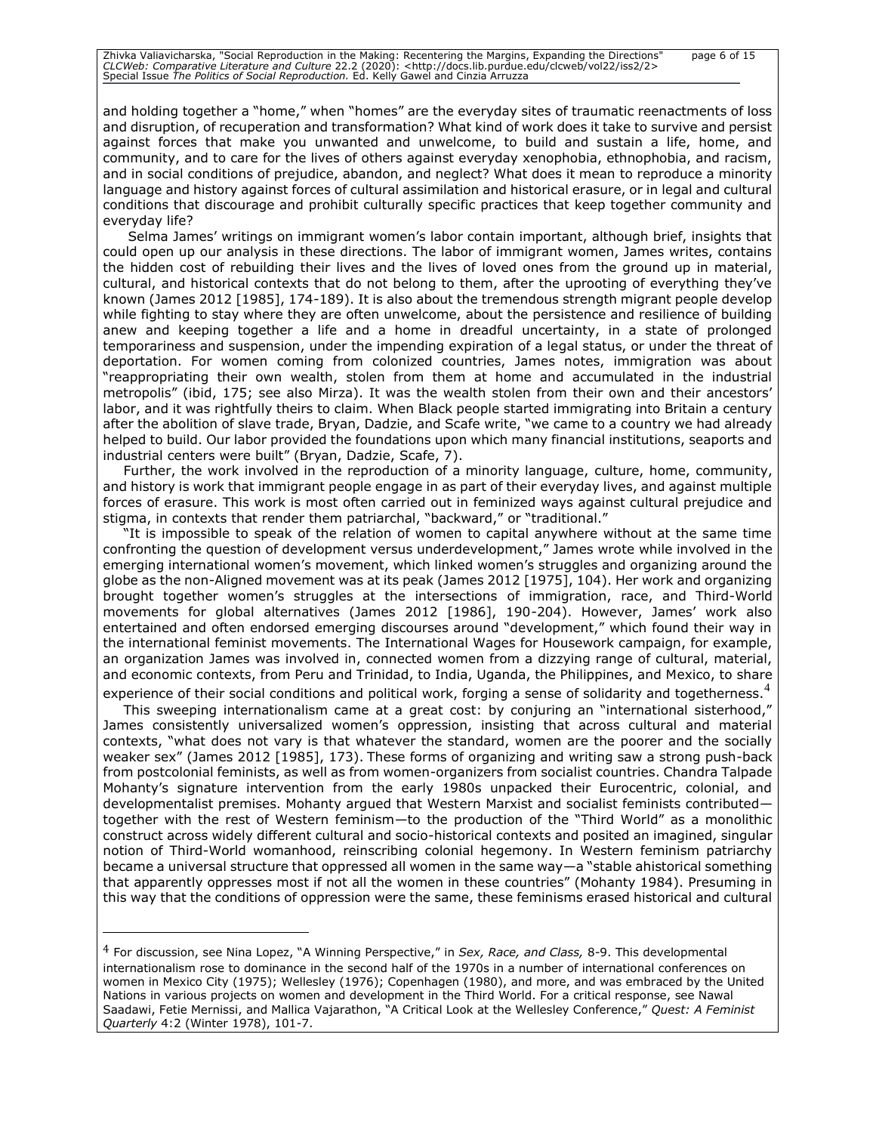Zhivka Valiavicharska, "Social Reproduction in the Making: Recentering the Margins, Expanding the Directions" page 6 of 15<br>CLCWeb: Comparative Literature and Culture 22.2 (2020): <http://docs.lib.purdue.edu/clcweb/vol22/is

and holding together a "home," when "homes" are the everyday sites of traumatic reenactments of loss and disruption, of recuperation and transformation? What kind of work does it take to survive and persist against forces that make you unwanted and unwelcome, to build and sustain a life, home, and community, and to care for the lives of others against everyday xenophobia, ethnophobia, and racism, and in social conditions of prejudice, abandon, and neglect? What does it mean to reproduce a minority language and history against forces of cultural assimilation and historical erasure, or in legal and cultural conditions that discourage and prohibit culturally specific practices that keep together community and everyday life?

Selma James' writings on immigrant women's labor contain important, although brief, insights that could open up our analysis in these directions. The labor of immigrant women, James writes, contains the hidden cost of rebuilding their lives and the lives of loved ones from the ground up in material, cultural, and historical contexts that do not belong to them, after the uprooting of everything they've known (James 2012 [1985], 174-189). It is also about the tremendous strength migrant people develop while fighting to stay where they are often unwelcome, about the persistence and resilience of building anew and keeping together a life and a home in dreadful uncertainty, in a state of prolonged temporariness and suspension, under the impending expiration of a legal status, or under the threat of deportation. For women coming from colonized countries, James notes, immigration was about "reappropriating their own wealth, stolen from them at home and accumulated in the industrial metropolis" (ibid, 175; see also Mirza). It was the wealth stolen from their own and their ancestors' labor, and it was rightfully theirs to claim. When Black people started immigrating into Britain a century after the abolition of slave trade, Bryan, Dadzie, and Scafe write, "we came to a country we had already helped to build. Our labor provided the foundations upon which many financial institutions, seaports and industrial centers were built" (Bryan, Dadzie, Scafe, 7).

Further, the work involved in the reproduction of a minority language, culture, home, community, and history is work that immigrant people engage in as part of their everyday lives, and against multiple forces of erasure. This work is most often carried out in feminized ways against cultural prejudice and stigma, in contexts that render them patriarchal, "backward," or "traditional."

"It is impossible to speak of the relation of women to capital anywhere without at the same time confronting the question of development versus underdevelopment," James wrote while involved in the emerging international women's movement, which linked women's struggles and organizing around the globe as the non-Aligned movement was at its peak (James 2012 [1975], 104). Her work and organizing brought together women's struggles at the intersections of immigration, race, and Third-World movements for global alternatives (James 2012 [1986], 190-204). However, James' work also entertained and often endorsed emerging discourses around "development," which found their way in the international feminist movements. The International Wages for Housework campaign, for example, an organization James was involved in, connected women from a dizzying range of cultural, material, and economic contexts, from Peru and Trinidad, to India, Uganda, the Philippines, and Mexico, to share

experience of their social conditions and political work, forging a sense of solidarity and togetherness.<sup>4</sup>

This sweeping internationalism came at a great cost: by conjuring an "international sisterhood," James consistently universalized women's oppression, insisting that across cultural and material contexts, "what does not vary is that whatever the standard, women are the poorer and the socially weaker sex" (James 2012 [1985], 173). These forms of organizing and writing saw a strong push-back from postcolonial feminists, as well as from women-organizers from socialist countries. Chandra Talpade Mohanty's signature intervention from the early 1980s unpacked their Eurocentric, colonial, and developmentalist premises. Mohanty argued that Western Marxist and socialist feminists contributed together with the rest of Western feminism—to the production of the "Third World" as a monolithic construct across widely different cultural and socio-historical contexts and posited an imagined, singular notion of Third-World womanhood, reinscribing colonial hegemony. In Western feminism patriarchy became a universal structure that oppressed all women in the same way—a "stable ahistorical something that apparently oppresses most if not all the women in these countries" (Mohanty 1984). Presuming in this way that the conditions of oppression were the same, these feminisms erased historical and cultural

<sup>4</sup> For discussion, see Nina Lopez, "A Winning Perspective," in *Sex, Race, and Class,* 8-9. This developmental internationalism rose to dominance in the second half of the 1970s in a number of international conferences on women in Mexico City (1975); Wellesley (1976); Copenhagen (1980), and more, and was embraced by the United Nations in various projects on women and development in the Third World. For a critical response, see Nawal Saadawi, Fetie Mernissi, and Mallica Vajarathon, "A Critical Look at the Wellesley Conference," *Quest: A Feminist Quarterly* 4:2 (Winter 1978), 101-7.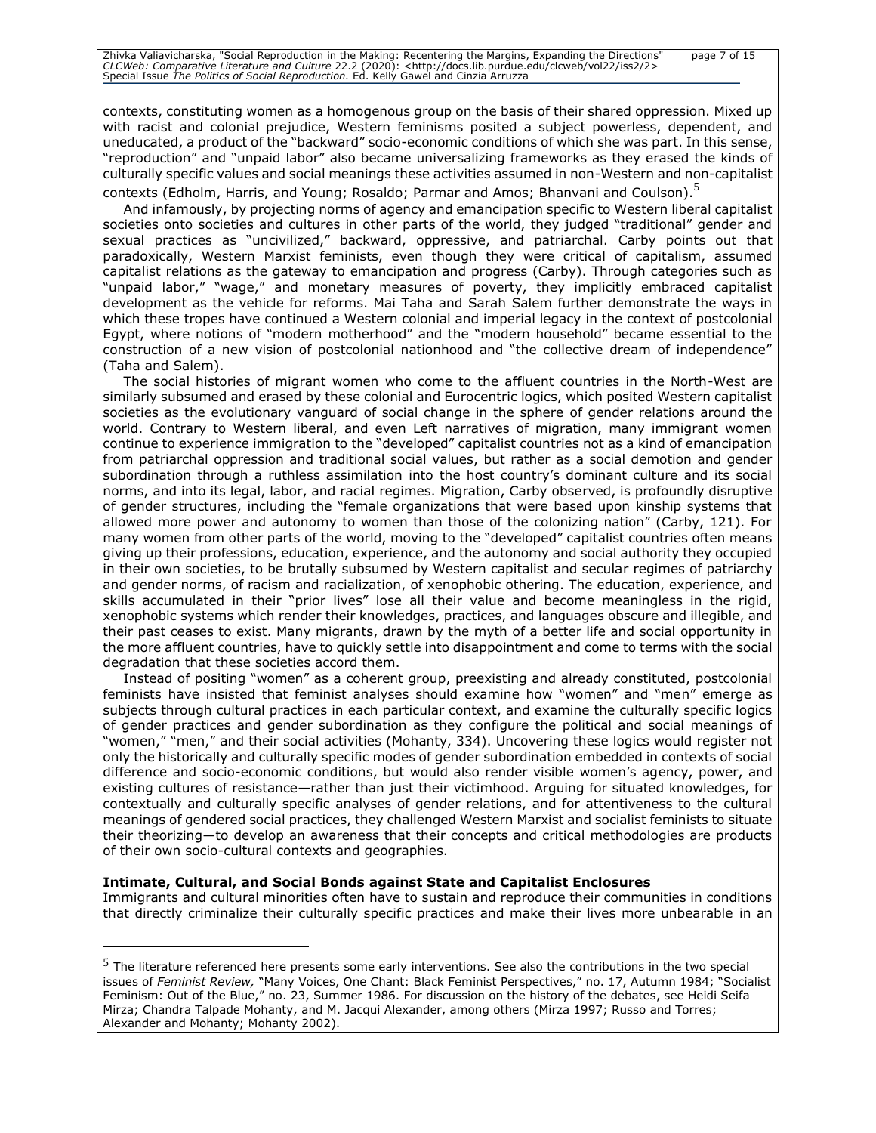contexts, constituting women as a homogenous group on the basis of their shared oppression. Mixed up with racist and colonial prejudice, Western feminisms posited a subject powerless, dependent, and uneducated, a product of the "backward" socio-economic conditions of which she was part. In this sense, "reproduction" and "unpaid labor" also became universalizing frameworks as they erased the kinds of culturally specific values and social meanings these activities assumed in non-Western and non-capitalist contexts (Edholm, Harris, and Young; Rosaldo; Parmar and Amos; Bhanvani and Coulson).<sup>5</sup>

And infamously, by projecting norms of agency and emancipation specific to Western liberal capitalist societies onto societies and cultures in other parts of the world, they judged "traditional" gender and sexual practices as "uncivilized," backward, oppressive, and patriarchal. Carby points out that paradoxically, Western Marxist feminists, even though they were critical of capitalism, assumed capitalist relations as the gateway to emancipation and progress (Carby). Through categories such as "unpaid labor," "wage," and monetary measures of poverty, they implicitly embraced capitalist development as the vehicle for reforms. Mai Taha and Sarah Salem further demonstrate the ways in which these tropes have continued a Western colonial and imperial legacy in the context of postcolonial Egypt, where notions of "modern motherhood" and the "modern household" became essential to the construction of a new vision of postcolonial nationhood and "the collective dream of independence" (Taha and Salem).

The social histories of migrant women who come to the affluent countries in the North-West are similarly subsumed and erased by these colonial and Eurocentric logics, which posited Western capitalist societies as the evolutionary vanguard of social change in the sphere of gender relations around the world. Contrary to Western liberal, and even Left narratives of migration, many immigrant women continue to experience immigration to the "developed" capitalist countries not as a kind of emancipation from patriarchal oppression and traditional social values, but rather as a social demotion and gender subordination through a ruthless assimilation into the host country's dominant culture and its social norms, and into its legal, labor, and racial regimes. Migration, Carby observed, is profoundly disruptive of gender structures, including the "female organizations that were based upon kinship systems that allowed more power and autonomy to women than those of the colonizing nation" (Carby, 121). For many women from other parts of the world, moving to the "developed" capitalist countries often means giving up their professions, education, experience, and the autonomy and social authority they occupied in their own societies, to be brutally subsumed by Western capitalist and secular regimes of patriarchy and gender norms, of racism and racialization, of xenophobic othering. The education, experience, and skills accumulated in their "prior lives" lose all their value and become meaningless in the rigid, xenophobic systems which render their knowledges, practices, and languages obscure and illegible, and their past ceases to exist. Many migrants, drawn by the myth of a better life and social opportunity in the more affluent countries, have to quickly settle into disappointment and come to terms with the social degradation that these societies accord them.

Instead of positing "women" as a coherent group, preexisting and already constituted, postcolonial feminists have insisted that feminist analyses should examine how "women" and "men" emerge as subjects through cultural practices in each particular context, and examine the culturally specific logics of gender practices and gender subordination as they configure the political and social meanings of "women," "men," and their social activities (Mohanty, 334). Uncovering these logics would register not only the historically and culturally specific modes of gender subordination embedded in contexts of social difference and socio-economic conditions, but would also render visible women's agency, power, and existing cultures of resistance—rather than just their victimhood. Arguing for situated knowledges, for contextually and culturally specific analyses of gender relations, and for attentiveness to the cultural meanings of gendered social practices, they challenged Western Marxist and socialist feminists to situate their theorizing—to develop an awareness that their concepts and critical methodologies are products of their own socio-cultural contexts and geographies.

#### **Intimate, Cultural, and Social Bonds against State and Capitalist Enclosures**

Immigrants and cultural minorities often have to sustain and reproduce their communities in conditions that directly criminalize their culturally specific practices and make their lives more unbearable in an

<sup>&</sup>lt;sup>5</sup> The literature referenced here presents some early interventions. See also the contributions in the two special issues of *Feminist Review,* "Many Voices, One Chant: Black Feminist Perspectives," no. 17, Autumn 1984; "Socialist Feminism: Out of the Blue," no. 23, Summer 1986. For discussion on the history of the debates, see Heidi Seifa Mirza; Chandra Talpade Mohanty, and M. Jacqui Alexander, among others (Mirza 1997; Russo and Torres; Alexander and Mohanty; Mohanty 2002).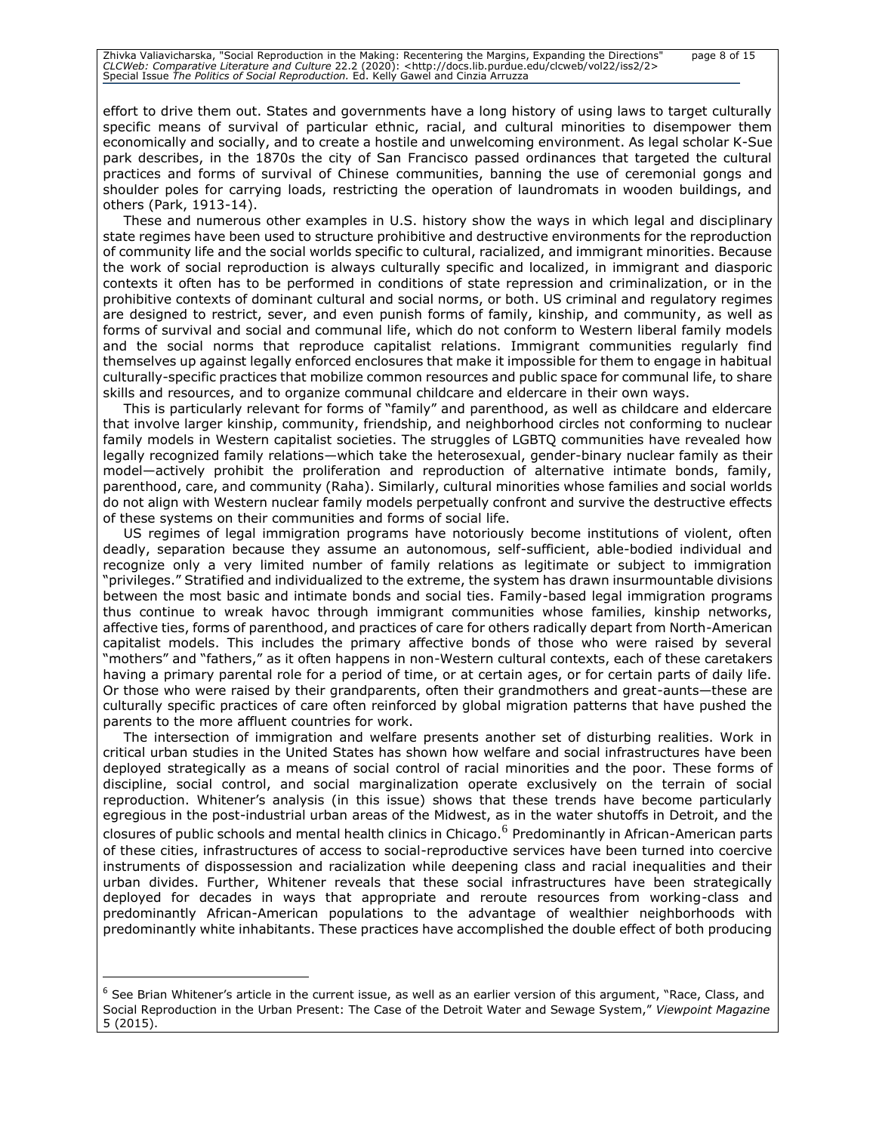# Zhivka Valiavicharska, "Social Reproduction in the Making: Recentering the Margins, Expanding the Directions" page 8 of 15<br>CLCWeb: Comparative Literature and Culture 22.2 (2020): <http://docs.lib.purdue.edu/clcweb/vol22/is

effort to drive them out. States and governments have a long history of using laws to target culturally specific means of survival of particular ethnic, racial, and cultural minorities to disempower them economically and socially, and to create a hostile and unwelcoming environment. As legal scholar K-Sue park describes, in the 1870s the city of San Francisco passed ordinances that targeted the cultural practices and forms of survival of Chinese communities, banning the use of ceremonial gongs and shoulder poles for carrying loads, restricting the operation of laundromats in wooden buildings, and others (Park, 1913-14).

These and numerous other examples in U.S. history show the ways in which legal and disciplinary state regimes have been used to structure prohibitive and destructive environments for the reproduction of community life and the social worlds specific to cultural, racialized, and immigrant minorities. Because the work of social reproduction is always culturally specific and localized, in immigrant and diasporic contexts it often has to be performed in conditions of state repression and criminalization, or in the prohibitive contexts of dominant cultural and social norms, or both. US criminal and regulatory regimes are designed to restrict, sever, and even punish forms of family, kinship, and community, as well as forms of survival and social and communal life, which do not conform to Western liberal family models and the social norms that reproduce capitalist relations. Immigrant communities regularly find themselves up against legally enforced enclosures that make it impossible for them to engage in habitual culturally-specific practices that mobilize common resources and public space for communal life, to share skills and resources, and to organize communal childcare and eldercare in their own ways.

This is particularly relevant for forms of "family" and parenthood, as well as childcare and eldercare that involve larger kinship, community, friendship, and neighborhood circles not conforming to nuclear family models in Western capitalist societies. The struggles of LGBTQ communities have revealed how legally recognized family relations—which take the heterosexual, gender-binary nuclear family as their model—actively prohibit the proliferation and reproduction of alternative intimate bonds, family, parenthood, care, and community (Raha). Similarly, cultural minorities whose families and social worlds do not align with Western nuclear family models perpetually confront and survive the destructive effects of these systems on their communities and forms of social life.

US regimes of legal immigration programs have notoriously become institutions of violent, often deadly, separation because they assume an autonomous, self-sufficient, able-bodied individual and recognize only a very limited number of family relations as legitimate or subject to immigration "privileges." Stratified and individualized to the extreme, the system has drawn insurmountable divisions between the most basic and intimate bonds and social ties. Family-based legal immigration programs thus continue to wreak havoc through immigrant communities whose families, kinship networks, affective ties, forms of parenthood, and practices of care for others radically depart from North-American capitalist models. This includes the primary affective bonds of those who were raised by several "mothers" and "fathers," as it often happens in non-Western cultural contexts, each of these caretakers having a primary parental role for a period of time, or at certain ages, or for certain parts of daily life. Or those who were raised by their grandparents, often their grandmothers and great-aunts—these are culturally specific practices of care often reinforced by global migration patterns that have pushed the parents to the more affluent countries for work.

The intersection of immigration and welfare presents another set of disturbing realities. Work in critical urban studies in the United States has shown how welfare and social infrastructures have been deployed strategically as a means of social control of racial minorities and the poor. These forms of discipline, social control, and social marginalization operate exclusively on the terrain of social reproduction. Whitener's analysis (in this issue) shows that these trends have become particularly egregious in the post-industrial urban areas of the Midwest, as in the water shutoffs in Detroit, and the closures of public schools and mental health clinics in Chicago.<sup>6</sup> Predominantly in African-American parts of these cities, infrastructures of access to social-reproductive services have been turned into coercive instruments of dispossession and racialization while deepening class and racial inequalities and their urban divides. Further, Whitener reveals that these social infrastructures have been strategically deployed for decades in ways that appropriate and reroute resources from working-class and predominantly African-American populations to the advantage of wealthier neighborhoods with predominantly white inhabitants. These practices have accomplished the double effect of both producing

 $6$  See Brian Whitener's article in the current issue, as well as an earlier version of this argument, "Race, Class, and Social Reproduction in the Urban Present: The Case of the Detroit Water and Sewage System," *Viewpoint Magazine*  5 (2015).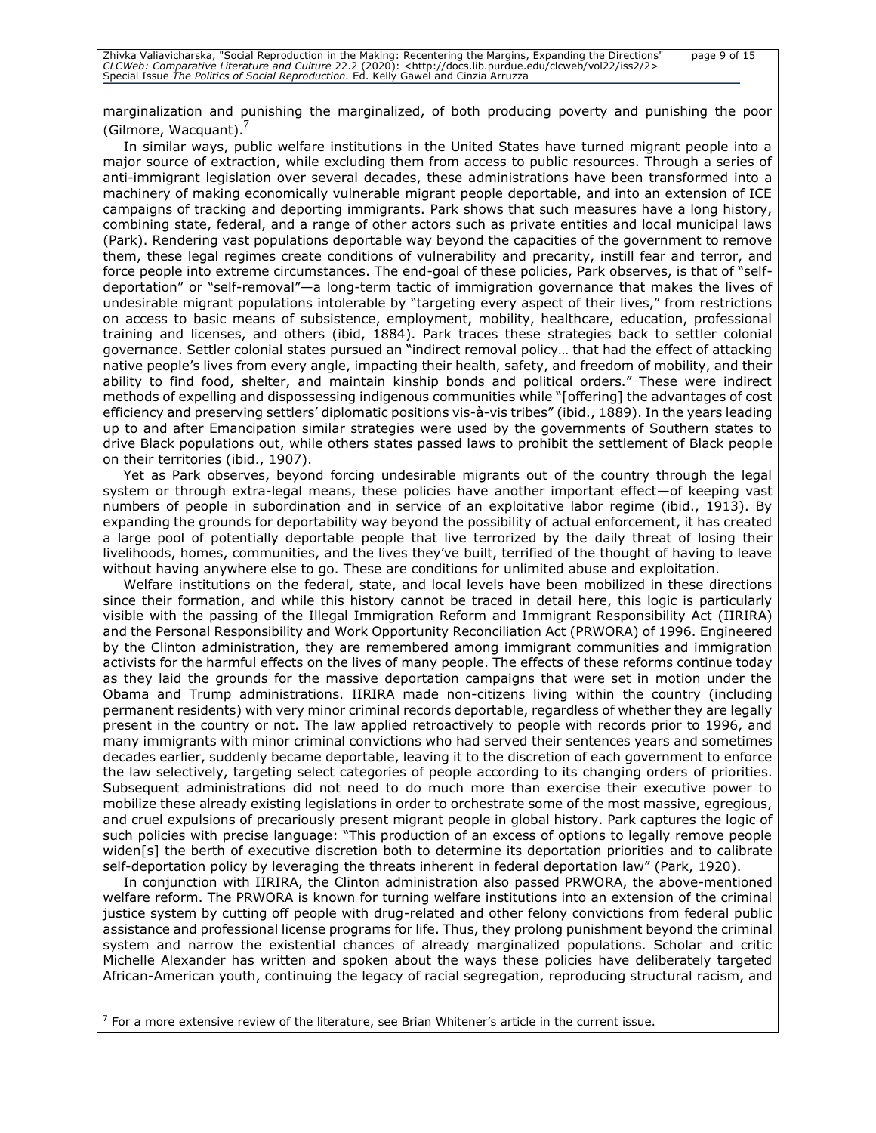marginalization and punishing the marginalized, of both producing poverty and punishing the poor (Gilmore, Wacquant).

In similar ways, public welfare institutions in the United States have turned migrant people into a major source of extraction, while excluding them from access to public resources. Through a series of anti-immigrant legislation over several decades, these administrations have been transformed into a machinery of making economically vulnerable migrant people deportable, and into an extension of ICE campaigns of tracking and deporting immigrants. Park shows that such measures have a long history, combining state, federal, and a range of other actors such as private entities and local municipal laws (Park). Rendering vast populations deportable way beyond the capacities of the government to remove them, these legal regimes create conditions of vulnerability and precarity, instill fear and terror, and force people into extreme circumstances. The end-goal of these policies, Park observes, is that of "selfdeportation" or "self-removal"—a long-term tactic of immigration governance that makes the lives of undesirable migrant populations intolerable by "targeting every aspect of their lives," from restrictions on access to basic means of subsistence, employment, mobility, healthcare, education, professional training and licenses, and others (ibid, 1884). Park traces these strategies back to settler colonial governance. Settler colonial states pursued an "indirect removal policy… that had the effect of attacking native people's lives from every angle, impacting their health, safety, and freedom of mobility, and their ability to find food, shelter, and maintain kinship bonds and political orders." These were indirect methods of expelling and dispossessing indigenous communities while "[offering] the advantages of cost efficiency and preserving settlers' diplomatic positions vis-à-vis tribes" (ibid., 1889). In the years leading up to and after Emancipation similar strategies were used by the governments of Southern states to drive Black populations out, while others states passed laws to prohibit the settlement of Black people on their territories (ibid., 1907).

Yet as Park observes, beyond forcing undesirable migrants out of the country through the legal system or through extra-legal means, these policies have another important effect—of keeping vast numbers of people in subordination and in service of an exploitative labor regime (ibid., 1913). By expanding the grounds for deportability way beyond the possibility of actual enforcement, it has created a large pool of potentially deportable people that live terrorized by the daily threat of losing their livelihoods, homes, communities, and the lives they've built, terrified of the thought of having to leave without having anywhere else to go. These are conditions for unlimited abuse and exploitation.

Welfare institutions on the federal, state, and local levels have been mobilized in these directions since their formation, and while this history cannot be traced in detail here, this logic is particularly visible with the passing of the Illegal Immigration Reform and Immigrant Responsibility Act (IIRIRA) and the Personal Responsibility and Work Opportunity Reconciliation Act (PRWORA) of 1996. Engineered by the Clinton administration, they are remembered among immigrant communities and immigration activists for the harmful effects on the lives of many people. The effects of these reforms continue today as they laid the grounds for the massive deportation campaigns that were set in motion under the Obama and Trump administrations. IIRIRA made non-citizens living within the country (including permanent residents) with very minor criminal records deportable, regardless of whether they are legally present in the country or not. The law applied retroactively to people with records prior to 1996, and many immigrants with minor criminal convictions who had served their sentences years and sometimes decades earlier, suddenly became deportable, leaving it to the discretion of each government to enforce the law selectively, targeting select categories of people according to its changing orders of priorities. Subsequent administrations did not need to do much more than exercise their executive power to mobilize these already existing legislations in order to orchestrate some of the most massive, egregious, and cruel expulsions of precariously present migrant people in global history. Park captures the logic of such policies with precise language: "This production of an excess of options to legally remove people widen[s] the berth of executive discretion both to determine its deportation priorities and to calibrate self-deportation policy by leveraging the threats inherent in federal deportation law" (Park, 1920).

In conjunction with IIRIRA, the Clinton administration also passed PRWORA, the above-mentioned welfare reform. The PRWORA is known for turning welfare institutions into an extension of the criminal justice system by cutting off people with drug-related and other felony convictions from federal public assistance and professional license programs for life. Thus, they prolong punishment beyond the criminal system and narrow the existential chances of already marginalized populations. Scholar and critic Michelle Alexander has written and spoken about the ways these policies have deliberately targeted African-American youth, continuing the legacy of racial segregation, reproducing structural racism, and

 $7$  For a more extensive review of the literature, see Brian Whitener's article in the current issue.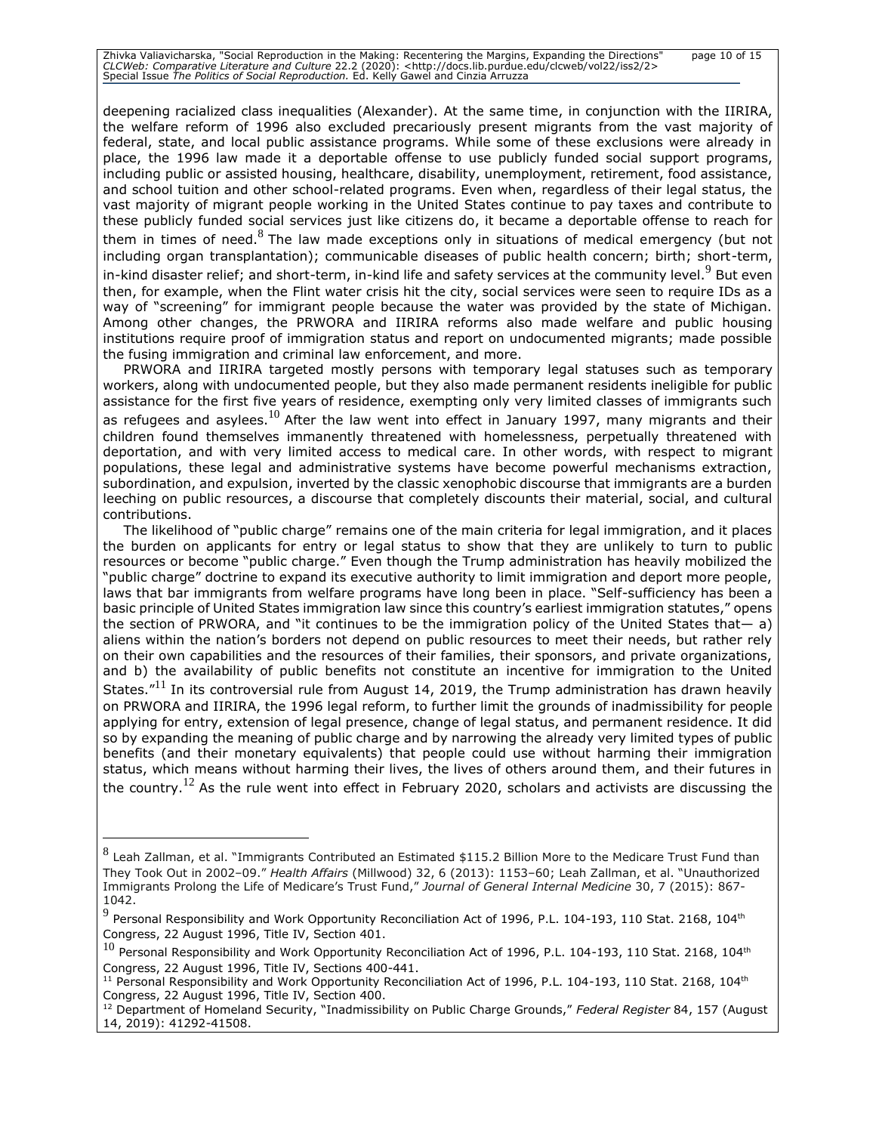Zhivka Valiavicharska, "Social Reproduction in the Making: Recentering the Margins, Expanding the Directions" page 10 of 15<br>CLCWeb: Comparative Literature and Culture 22.2 (2020): <http://docs.lib.purdue.edu/clcweb/vol22/i

deepening racialized class inequalities (Alexander). At the same time, in conjunction with the IIRIRA, the welfare reform of 1996 also excluded precariously present migrants from the vast majority of federal, state, and local public assistance programs. While some of these exclusions were already in place, the 1996 law made it a deportable offense to use publicly funded social support programs, including public or assisted housing, healthcare, disability, unemployment, retirement, food assistance, and school tuition and other school-related programs. Even when, regardless of their legal status, the vast majority of migrant people working in the United States continue to pay taxes and contribute to these publicly funded social services just like citizens do, it became a deportable offense to reach for them in times of need.  $8$  The law made exceptions only in situations of medical emergency (but not including organ transplantation); communicable diseases of public health concern; birth; short-term, in-kind disaster relief; and short-term, in-kind life and safety services at the community level.<sup>9</sup> But even then, for example, when the Flint water crisis hit the city, social services were seen to require IDs as a way of "screening" for immigrant people because the water was provided by the state of Michigan. Among other changes, the PRWORA and IIRIRA reforms also made welfare and public housing institutions require proof of immigration status and report on undocumented migrants; made possible the fusing immigration and criminal law enforcement, and more.

PRWORA and IIRIRA targeted mostly persons with temporary legal statuses such as temporary workers, along with undocumented people, but they also made permanent residents ineligible for public assistance for the first five years of residence, exempting only very limited classes of immigrants such as refugees and asylees.<sup>10</sup> After the law went into effect in January 1997, many migrants and their children found themselves immanently threatened with homelessness, perpetually threatened with deportation, and with very limited access to medical care. In other words, with respect to migrant populations, these legal and administrative systems have become powerful mechanisms extraction, subordination, and expulsion, inverted by the classic xenophobic discourse that immigrants are a burden leeching on public resources, a discourse that completely discounts their material, social, and cultural contributions.

The likelihood of "public charge" remains one of the main criteria for legal immigration, and it places the burden on applicants for entry or legal status to show that they are unlikely to turn to public resources or become "public charge." Even though the Trump administration has heavily mobilized the "public charge" doctrine to expand its executive authority to limit immigration and deport more people, laws that bar immigrants from welfare programs have long been in place. "Self-sufficiency has been a basic principle of United States immigration law since this country's earliest immigration statutes," opens the section of PRWORA, and "it continues to be the immigration policy of the United States that— a) aliens within the nation's borders not depend on public resources to meet their needs, but rather rely on their own capabilities and the resources of their families, their sponsors, and private organizations, and b) the availability of public benefits not constitute an incentive for immigration to the United States."<sup>11</sup> In its controversial rule from August 14, 2019, the Trump administration has drawn heavily on PRWORA and IIRIRA, the 1996 legal reform, to further limit the grounds of inadmissibility for people applying for entry, extension of legal presence, change of legal status, and permanent residence. It did so by expanding the meaning of public charge and by narrowing the already very limited types of public benefits (and their monetary equivalents) that people could use without harming their immigration status, which means without harming their lives, the lives of others around them, and their futures in the country.<sup>12</sup> As the rule went into effect in February 2020, scholars and activists are discussing the

 $^8$  Leah Zallman, et al. "Immigrants Contributed an Estimated \$115.2 Billion More to the Medicare Trust Fund than They Took Out in 2002–09." *Health Affairs* (Millwood) 32, 6 (2013): 1153–60; Leah Zallman, et al. "Unauthorized Immigrants Prolong the Life of Medicare's Trust Fund," *Journal of General Internal Medicine* 30, 7 (2015): 867- 1042.

 $^9$  Personal Responsibility and Work Opportunity Reconciliation Act of 1996, P.L. 104-193, 110 Stat. 2168, 104<sup>th</sup> Congress, 22 August 1996, Title IV, Section 401.

 $^{10}$  Personal Responsibility and Work Opportunity Reconciliation Act of 1996, P.L. 104-193, 110 Stat. 2168, 104<sup>th</sup> Congress, 22 August 1996, Title IV, Sections 400-441.

 $11$  Personal Responsibility and Work Opportunity Reconciliation Act of 1996, P.L. 104-193, 110 Stat. 2168, 104<sup>th</sup> Congress, 22 August 1996, Title IV, Section 400.

<sup>12</sup> Department of Homeland Security, "Inadmissibility on Public Charge Grounds," *Federal Register* 84, 157 (August 14, 2019): 41292-41508.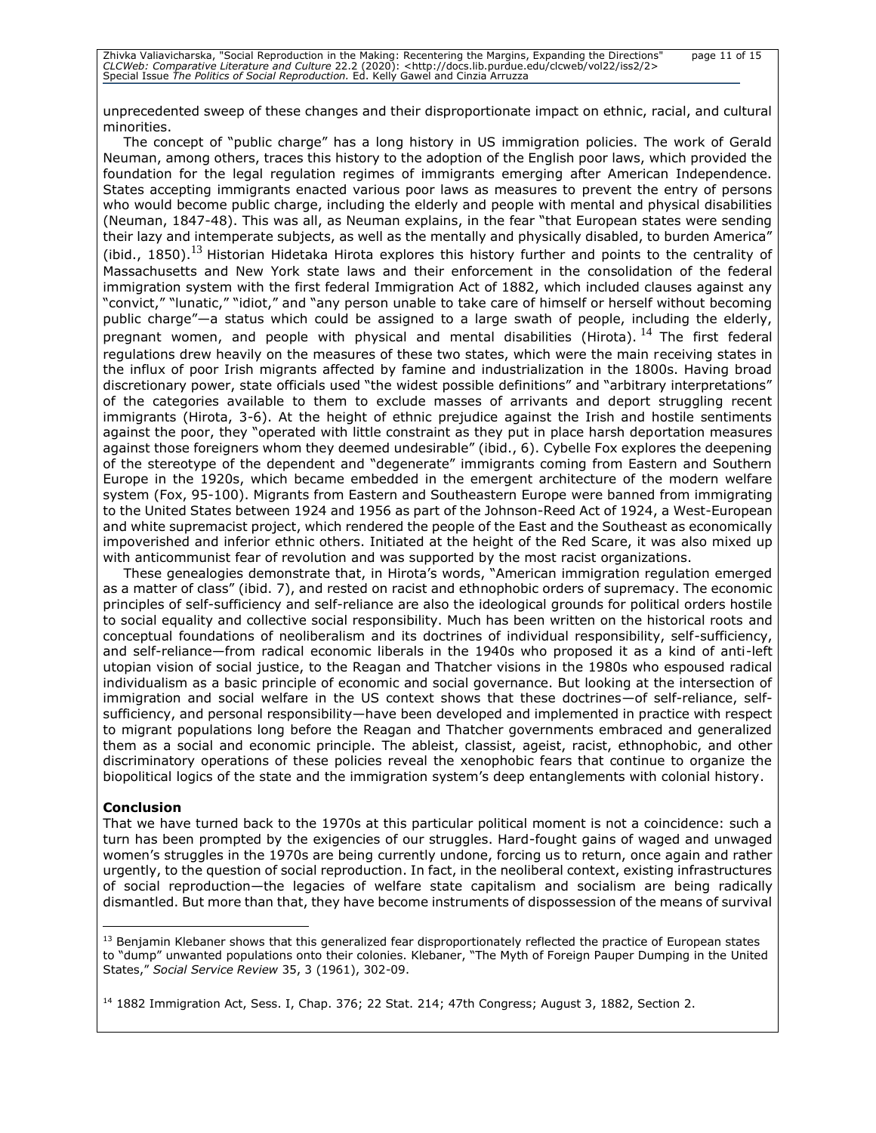unprecedented sweep of these changes and their disproportionate impact on ethnic, racial, and cultural minorities.

The concept of "public charge" has a long history in US immigration policies. The work of Gerald Neuman, among others, traces this history to the adoption of the English poor laws, which provided the foundation for the legal regulation regimes of immigrants emerging after American Independence. States accepting immigrants enacted various poor laws as measures to prevent the entry of persons who would become public charge, including the elderly and people with mental and physical disabilities (Neuman, 1847-48). This was all, as Neuman explains, in the fear "that European states were sending their lazy and intemperate subjects, as well as the mentally and physically disabled, to burden America" (ibid., 1850).<sup>13</sup> Historian Hidetaka Hirota explores this history further and points to the centrality of Massachusetts and New York state laws and their enforcement in the consolidation of the federal immigration system with the first federal Immigration Act of 1882, which included clauses against any "convict," "lunatic," "idiot," and "any person unable to take care of himself or herself without becoming public charge"—a status which could be assigned to a large swath of people, including the elderly, pregnant women, and people with physical and mental disabilities (Hirota).<sup>14</sup> The first federal regulations drew heavily on the measures of these two states, which were the main receiving states in the influx of poor Irish migrants affected by famine and industrialization in the 1800s. Having broad discretionary power, state officials used "the widest possible definitions" and "arbitrary interpretations" of the categories available to them to exclude masses of arrivants and deport struggling recent immigrants (Hirota, 3-6). At the height of ethnic prejudice against the Irish and hostile sentiments against the poor, they "operated with little constraint as they put in place harsh deportation measures against those foreigners whom they deemed undesirable" (ibid., 6). Cybelle Fox explores the deepening of the stereotype of the dependent and "degenerate" immigrants coming from Eastern and Southern Europe in the 1920s, which became embedded in the emergent architecture of the modern welfare system (Fox, 95-100). Migrants from Eastern and Southeastern Europe were banned from immigrating to the United States between 1924 and 1956 as part of the Johnson-Reed Act of 1924, a West-European and white supremacist project, which rendered the people of the East and the Southeast as economically impoverished and inferior ethnic others. Initiated at the height of the Red Scare, it was also mixed up with anticommunist fear of revolution and was supported by the most racist organizations.

These genealogies demonstrate that, in Hirota's words, "American immigration regulation emerged as a matter of class" (ibid. 7), and rested on racist and ethnophobic orders of supremacy. The economic principles of self-sufficiency and self-reliance are also the ideological grounds for political orders hostile to social equality and collective social responsibility. Much has been written on the historical roots and conceptual foundations of neoliberalism and its doctrines of individual responsibility, self-sufficiency, and self-reliance—from radical economic liberals in the 1940s who proposed it as a kind of anti-left utopian vision of social justice, to the Reagan and Thatcher visions in the 1980s who espoused radical individualism as a basic principle of economic and social governance. But looking at the intersection of immigration and social welfare in the US context shows that these doctrines—of self-reliance, selfsufficiency, and personal responsibility—have been developed and implemented in practice with respect to migrant populations long before the Reagan and Thatcher governments embraced and generalized them as a social and economic principle. The ableist, classist, ageist, racist, ethnophobic, and other discriminatory operations of these policies reveal the xenophobic fears that continue to organize the biopolitical logics of the state and the immigration system's deep entanglements with colonial history.

#### **Conclusion**

That we have turned back to the 1970s at this particular political moment is not a coincidence: such a turn has been prompted by the exigencies of our struggles. Hard-fought gains of waged and unwaged women's struggles in the 1970s are being currently undone, forcing us to return, once again and rather urgently, to the question of social reproduction. In fact, in the neoliberal context, existing infrastructures of social reproduction—the legacies of welfare state capitalism and socialism are being radically dismantled. But more than that, they have become instruments of dispossession of the means of survival

<sup>&</sup>lt;sup>13</sup> Benjamin Klebaner shows that this generalized fear disproportionately reflected the practice of European states to "dump" unwanted populations onto their colonies. Klebaner, "The Myth of Foreign Pauper Dumping in the United States," *Social Service Review* 35, 3 (1961), 302-09.

<sup>&</sup>lt;sup>14</sup> 1882 Immigration Act, Sess. I, Chap. 376; 22 Stat. 214; 47th Congress; August 3, 1882, Section 2.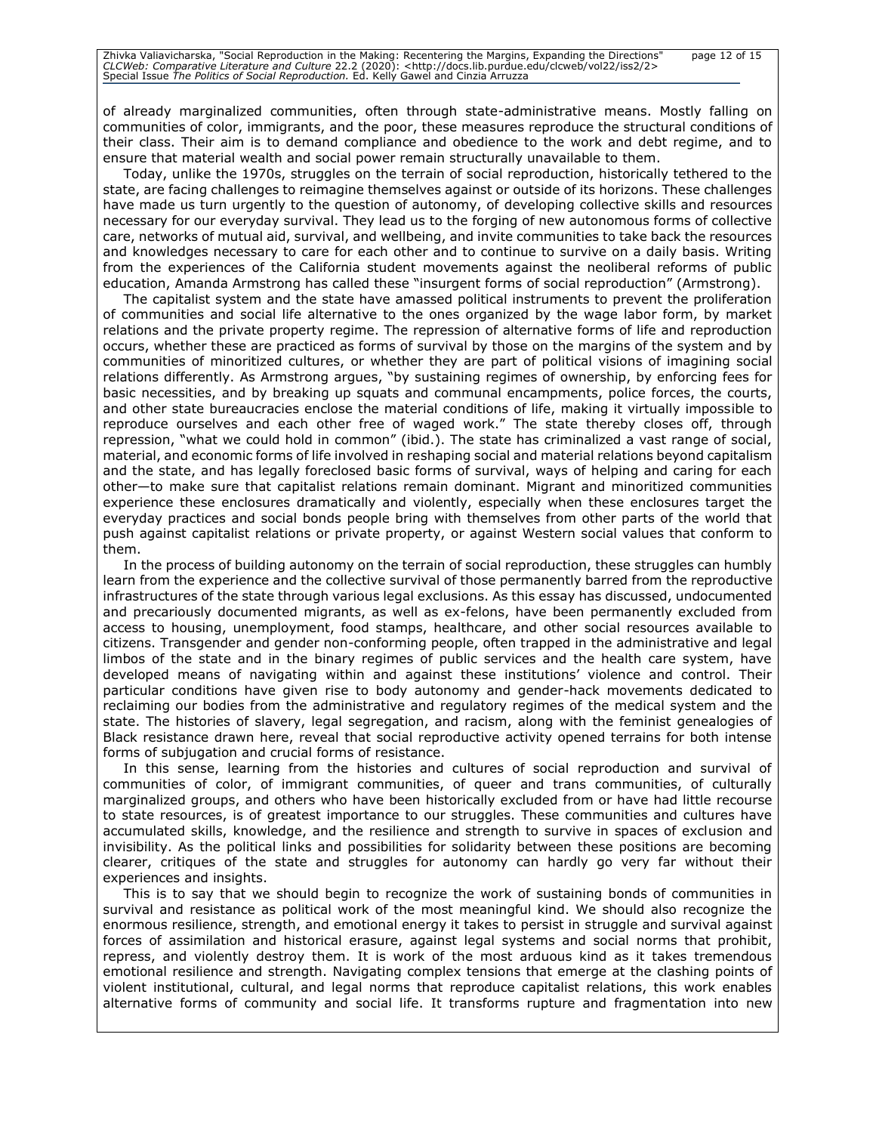of already marginalized communities, often through state-administrative means. Mostly falling on communities of color, immigrants, and the poor, these measures reproduce the structural conditions of their class. Their aim is to demand compliance and obedience to the work and debt regime, and to ensure that material wealth and social power remain structurally unavailable to them.

Today, unlike the 1970s, struggles on the terrain of social reproduction, historically tethered to the state, are facing challenges to reimagine themselves against or outside of its horizons. These challenges have made us turn urgently to the question of autonomy, of developing collective skills and resources necessary for our everyday survival. They lead us to the forging of new autonomous forms of collective care, networks of mutual aid, survival, and wellbeing, and invite communities to take back the resources and knowledges necessary to care for each other and to continue to survive on a daily basis. Writing from the experiences of the California student movements against the neoliberal reforms of public education, Amanda Armstrong has called these "insurgent forms of social reproduction" (Armstrong).

The capitalist system and the state have amassed political instruments to prevent the proliferation of communities and social life alternative to the ones organized by the wage labor form, by market relations and the private property regime. The repression of alternative forms of life and reproduction occurs, whether these are practiced as forms of survival by those on the margins of the system and by communities of minoritized cultures, or whether they are part of political visions of imagining social relations differently. As Armstrong argues, "by sustaining regimes of ownership, by enforcing fees for basic necessities, and by breaking up squats and communal encampments, police forces, the courts, and other state bureaucracies enclose the material conditions of life, making it virtually impossible to reproduce ourselves and each other free of waged work." The state thereby closes off, through repression, "what we could hold in common" (ibid.). The state has criminalized a vast range of social, material, and economic forms of life involved in reshaping social and material relations beyond capitalism and the state, and has legally foreclosed basic forms of survival, ways of helping and caring for each other—to make sure that capitalist relations remain dominant. Migrant and minoritized communities experience these enclosures dramatically and violently, especially when these enclosures target the everyday practices and social bonds people bring with themselves from other parts of the world that push against capitalist relations or private property, or against Western social values that conform to them.

In the process of building autonomy on the terrain of social reproduction, these struggles can humbly learn from the experience and the collective survival of those permanently barred from the reproductive infrastructures of the state through various legal exclusions. As this essay has discussed, undocumented and precariously documented migrants, as well as ex-felons, have been permanently excluded from access to housing, unemployment, food stamps, healthcare, and other social resources available to citizens. Transgender and gender non-conforming people, often trapped in the administrative and legal limbos of the state and in the binary regimes of public services and the health care system, have developed means of navigating within and against these institutions' violence and control. Their particular conditions have given rise to body autonomy and gender-hack movements dedicated to reclaiming our bodies from the administrative and regulatory regimes of the medical system and the state. The histories of slavery, legal segregation, and racism, along with the feminist genealogies of Black resistance drawn here, reveal that social reproductive activity opened terrains for both intense forms of subjugation and crucial forms of resistance.

In this sense, learning from the histories and cultures of social reproduction and survival of communities of color, of immigrant communities, of queer and trans communities, of culturally marginalized groups, and others who have been historically excluded from or have had little recourse to state resources, is of greatest importance to our struggles. These communities and cultures have accumulated skills, knowledge, and the resilience and strength to survive in spaces of exclusion and invisibility. As the political links and possibilities for solidarity between these positions are becoming clearer, critiques of the state and struggles for autonomy can hardly go very far without their experiences and insights.

This is to say that we should begin to recognize the work of sustaining bonds of communities in survival and resistance as political work of the most meaningful kind. We should also recognize the enormous resilience, strength, and emotional energy it takes to persist in struggle and survival against forces of assimilation and historical erasure, against legal systems and social norms that prohibit, repress, and violently destroy them. It is work of the most arduous kind as it takes tremendous emotional resilience and strength. Navigating complex tensions that emerge at the clashing points of violent institutional, cultural, and legal norms that reproduce capitalist relations, this work enables alternative forms of community and social life. It transforms rupture and fragmentation into new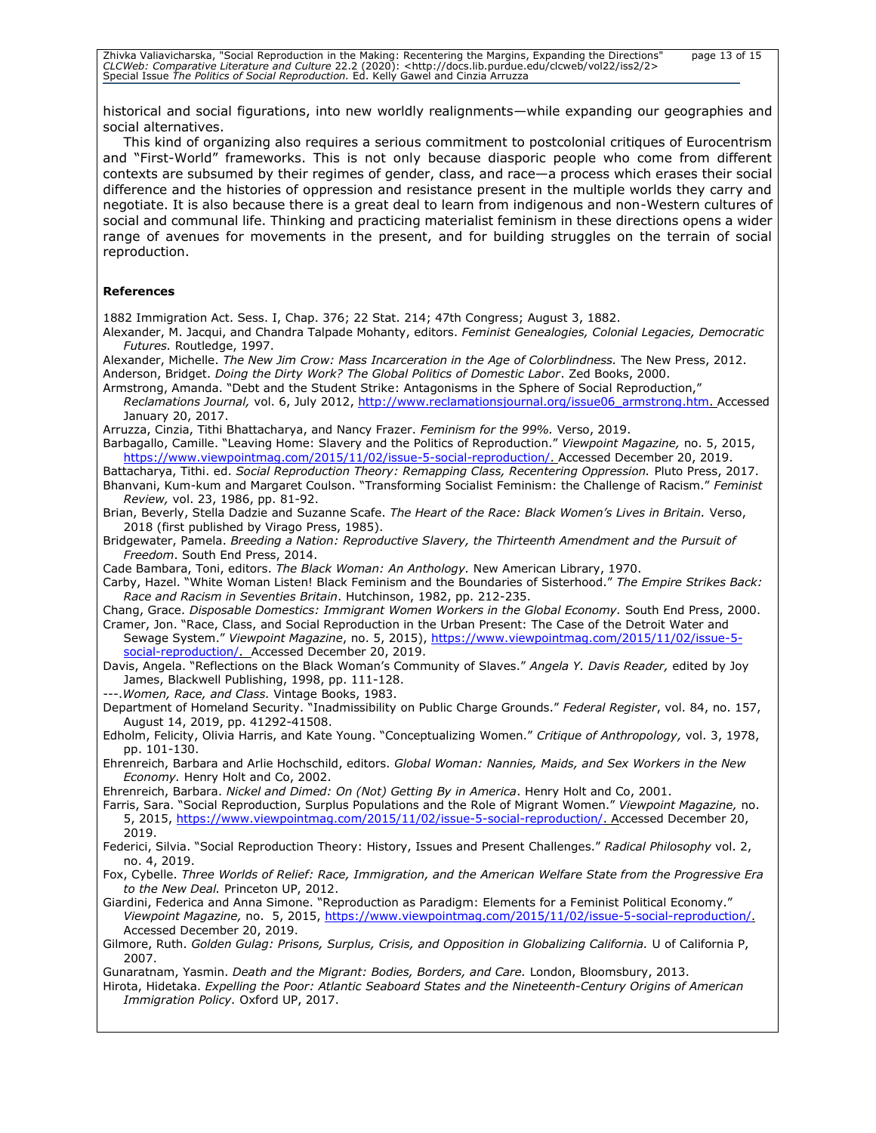| Zhivka Valiavicharska, "Social Reproduction in the Making: Recentering the Margins, Expanding the Directions"                  | page 13 of 15 |
|--------------------------------------------------------------------------------------------------------------------------------|---------------|
| CLCWeb: Comparative Literature and Culture 22.2 (2020): <http: 2="" clcweb="" docs.lib.purdue.edu="" iss2="" vol22=""></http:> |               |
| Special Issue The Politics of Social Reproduction. Ed. Kelly Gawel and Cinzia Arruzza                                          |               |

historical and social figurations, into new worldly realignments—while expanding our geographies and social alternatives.

This kind of organizing also requires a serious commitment to postcolonial critiques of Eurocentrism and "First-World" frameworks. This is not only because diasporic people who come from different contexts are subsumed by their regimes of gender, class, and race—a process which erases their social difference and the histories of oppression and resistance present in the multiple worlds they carry and negotiate. It is also because there is a great deal to learn from indigenous and non-Western cultures of social and communal life. Thinking and practicing materialist feminism in these directions opens a wider range of avenues for movements in the present, and for building struggles on the terrain of social reproduction.

#### **References**

1882 Immigration Act. Sess. I, Chap. 376; 22 Stat. 214; 47th Congress; August 3, 1882.

Alexander, M. Jacqui, and Chandra Talpade Mohanty, editors. *Feminist Genealogies, Colonial Legacies, Democratic Futures.* Routledge, 1997.

Alexander, Michelle. *The New Jim Crow: Mass Incarceration in the Age of Colorblindness.* The New Press, 2012. Anderson, Bridget. *Doing the Dirty Work? The Global Politics of Domestic Labor*. Zed Books, 2000.

Armstrong, Amanda. "Debt and the Student Strike: Antagonisms in the Sphere of Social Reproduction," *Reclamations Journal,* vol. 6, July 2012, [http://www.reclamationsjournal.org/issue06\\_armstrong.htm.](http://www.reclamationsjournal.org/issue06_armstrong.htm) Accessed January 20, 2017.

Barbagallo, Camille. "Leaving Home: Slavery and the Politics of Reproduction." *Viewpoint Magazine,* no. 5, 2015, [https://www.viewpointmag.com/2015/11/02/issue-5-social-reproduction/.](https://www.viewpointmag.com/2015/11/02/issue-5-social-reproduction/) Accessed December 20, 2019.

Battacharya, Tithi. ed. *Social Reproduction Theory: Remapping Class, Recentering Oppression.* Pluto Press, 2017. Bhanvani, Kum-kum and Margaret Coulson. "Transforming Socialist Feminism: the Challenge of Racism." *Feminist Review,* vol. 23, 1986, pp. 81-92.

Brian, Beverly, Stella Dadzie and Suzanne Scafe. *The Heart of the Race: Black Women's Lives in Britain.* Verso, 2018 (first published by Virago Press, 1985).

Bridgewater, Pamela. *Breeding a Nation: Reproductive Slavery, the Thirteenth Amendment and the Pursuit of Freedom*. South End Press, 2014.

Cade Bambara, Toni, editors. *The Black Woman: An Anthology.* New American Library, 1970.

Carby, Hazel. "White Woman Listen! Black Feminism and the Boundaries of Sisterhood." *The Empire Strikes Back: Race and Racism in Seventies Britain*. Hutchinson, 1982, pp. 212-235.

Chang, Grace. *Disposable Domestics: Immigrant Women Workers in the Global Economy.* South End Press, 2000. Cramer, Jon. "Race, Class, and Social Reproduction in the Urban Present: The Case of the Detroit Water and Sewage System." *Viewpoint Magazine*, no. 5, 2015), [https://www.viewpointmag.com/2015/11/02/issue-5](https://www.viewpointmag.com/2015/11/02/issue-5-social-reproduction/) [social-reproduction/.](https://www.viewpointmag.com/2015/11/02/issue-5-social-reproduction/) Accessed December 20, 2019.

Davis, Angela. "Reflections on the Black Woman's Community of Slaves." *Angela Y. Davis Reader,* edited by Joy James, Blackwell Publishing, 1998, pp. 111-128.

---.*Women, Race, and Class.* Vintage Books, 1983.

Department of Homeland Security. "Inadmissibility on Public Charge Grounds." *Federal Register*, vol. 84, no. 157, August 14, 2019, pp. 41292-41508.

Edholm, Felicity, Olivia Harris, and Kate Young. "Conceptualizing Women." *Critique of Anthropology,* vol. 3, 1978, pp. 101-130.

Ehrenreich, Barbara and Arlie Hochschild, editors. *Global Woman: Nannies, Maids, and Sex Workers in the New Economy.* Henry Holt and Co, 2002.

Ehrenreich, Barbara. *Nickel and Dimed: On (Not) Getting By in America*. Henry Holt and Co, 2001.

Farris, Sara. "Social Reproduction, Surplus Populations and the Role of Migrant Women." *Viewpoint Magazine,* no. 5, 2015, [https://www.viewpointmag.com/2015/11/02/issue-5-social-reproduction/.](https://www.viewpointmag.com/2015/11/02/issue-5-social-reproduction/) Accessed December 20, 2019.

Federici, Silvia. "Social Reproduction Theory: History, Issues and Present Challenges." *Radical Philosophy* vol. 2, no. 4, 2019.

Fox, Cybelle. *Three Worlds of Relief: Race, Immigration, and the American Welfare State from the Progressive Era to the New Deal.* Princeton UP, 2012.

Giardini, Federica and Anna Simone. "Reproduction as Paradigm: Elements for a Feminist Political Economy." *Viewpoint Magazine,* no. 5, 2015, [https://www.viewpointmag.com/2015/11/02/issue-5-social-reproduction/.](https://www.viewpointmag.com/2015/11/02/issue-5-social-reproduction/) Accessed December 20, 2019.

Gilmore, Ruth. *Golden Gulag: Prisons, Surplus, Crisis, and Opposition in Globalizing California.* U of California P, 2007.

Gunaratnam, Yasmin. *Death and the Migrant: Bodies, Borders, and Care.* London, Bloomsbury, 2013.

Hirota, Hidetaka. *Expelling the Poor: Atlantic Seaboard States and the Nineteenth-Century Origins of American Immigration Policy.* Oxford UP, 2017.

Arruzza, Cinzia, Tithi Bhattacharya, and Nancy Frazer. *Feminism for the 99%.* Verso, 2019.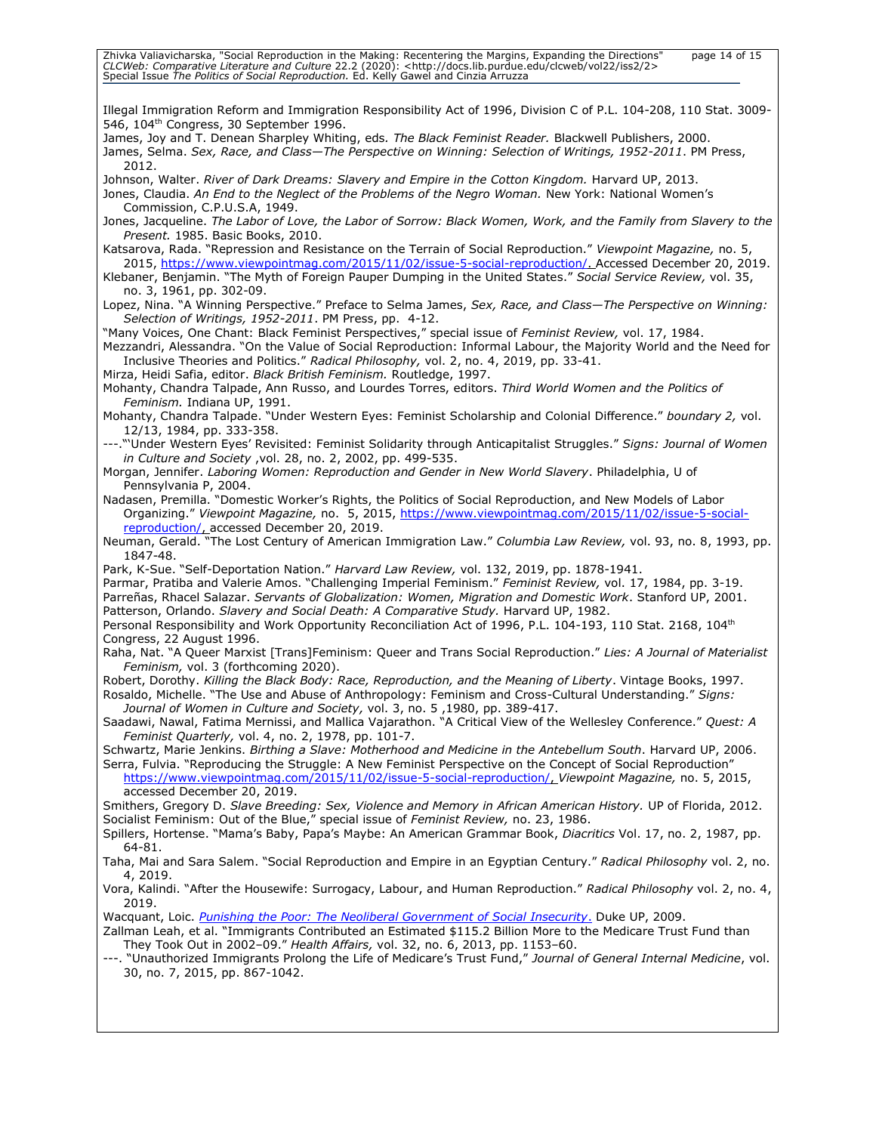| Zhivka Valiavicharska, "Social Reproduction in the Making: Recentering the Margins, Expanding the Directions"<br>CLCWeb: Comparative Literature and Culture 22.2 (2020): <http: 2="" clcweb="" docs.lib.purdue.edu="" iss2="" vol22=""><br/>page 14 of 15<br/>Special Issue The Politics of Social Reproduction. Ed. Kelly Gawel and Cinzia Arruzza</http:>                                                       |
|-------------------------------------------------------------------------------------------------------------------------------------------------------------------------------------------------------------------------------------------------------------------------------------------------------------------------------------------------------------------------------------------------------------------|
| Illegal Immigration Reform and Immigration Responsibility Act of 1996, Division C of P.L. 104-208, 110 Stat. 3009-<br>546, 104 <sup>th</sup> Congress, 30 September 1996.                                                                                                                                                                                                                                         |
| James, Joy and T. Denean Sharpley Whiting, eds. The Black Feminist Reader. Blackwell Publishers, 2000.<br>James, Selma. Sex, Race, and Class-The Perspective on Winning: Selection of Writings, 1952-2011. PM Press,<br>2012.                                                                                                                                                                                     |
| Johnson, Walter. River of Dark Dreams: Slavery and Empire in the Cotton Kingdom. Harvard UP, 2013.<br>Jones, Claudia. An End to the Neglect of the Problems of the Negro Woman. New York: National Women's<br>Commission, C.P.U.S.A, 1949.                                                                                                                                                                        |
| Jones, Jacqueline. The Labor of Love, the Labor of Sorrow: Black Women, Work, and the Family from Slavery to the<br>Present. 1985. Basic Books, 2010.                                                                                                                                                                                                                                                             |
| Katsarova, Rada. "Repression and Resistance on the Terrain of Social Reproduction." Viewpoint Magazine, no. 5,<br>2015, https://www.viewpointmag.com/2015/11/02/issue-5-social-reproduction/. Accessed December 20, 2019.<br>Klebaner, Benjamin. "The Myth of Foreign Pauper Dumping in the United States." Social Service Review, vol. 35,                                                                       |
| no. 3, 1961, pp. 302-09.<br>Lopez, Nina. "A Winning Perspective." Preface to Selma James, Sex, Race, and Class-The Perspective on Winning:<br>Selection of Writings, 1952-2011. PM Press, pp. 4-12.                                                                                                                                                                                                               |
| "Many Voices, One Chant: Black Feminist Perspectives," special issue of Feminist Review, vol. 17, 1984.<br>Mezzandri, Alessandra. "On the Value of Social Reproduction: Informal Labour, the Majority World and the Need for<br>Inclusive Theories and Politics." Radical Philosophy, vol. 2, no. 4, 2019, pp. 33-41.                                                                                             |
| Mirza, Heidi Safia, editor. Black British Feminism. Routledge, 1997.<br>Mohanty, Chandra Talpade, Ann Russo, and Lourdes Torres, editors. Third World Women and the Politics of                                                                                                                                                                                                                                   |
| Feminism. Indiana UP, 1991.<br>Mohanty, Chandra Talpade. "Under Western Eyes: Feminist Scholarship and Colonial Difference." boundary 2, vol.<br>12/13, 1984, pp. 333-358.                                                                                                                                                                                                                                        |
| ---. "'Under Western Eyes' Revisited: Feminist Solidarity through Anticapitalist Struggles." Signs: Journal of Women<br>in Culture and Society , vol. 28, no. 2, 2002, pp. 499-535.                                                                                                                                                                                                                               |
| Morgan, Jennifer. Laboring Women: Reproduction and Gender in New World Slavery. Philadelphia, U of<br>Pennsylvania P, 2004.<br>Nadasen, Premilla. "Domestic Worker's Rights, the Politics of Social Reproduction, and New Models of Labor                                                                                                                                                                         |
| Organizing." Viewpoint Magazine, no. 5, 2015, https://www.viewpointmag.com/2015/11/02/issue-5-social-<br>reproduction/, accessed December 20, 2019.                                                                                                                                                                                                                                                               |
| Neuman, Gerald. "The Lost Century of American Immigration Law." Columbia Law Review, vol. 93, no. 8, 1993, pp.<br>1847-48.                                                                                                                                                                                                                                                                                        |
| Park, K-Sue. "Self-Deportation Nation." Harvard Law Review, vol. 132, 2019, pp. 1878-1941.<br>Parmar, Pratiba and Valerie Amos. "Challenging Imperial Feminism." Feminist Review, vol. 17, 1984, pp. 3-19.<br>Parreñas, Rhacel Salazar. Servants of Globalization: Women, Migration and Domestic Work. Stanford UP, 2001.<br>Patterson, Orlando. Slavery and Social Death: A Comparative Study. Harvard UP, 1982. |
| Personal Responsibility and Work Opportunity Reconciliation Act of 1996, P.L. 104-193, 110 Stat. 2168, 104 <sup>th</sup><br>Congress, 22 August 1996.                                                                                                                                                                                                                                                             |
| Raha, Nat. "A Queer Marxist [Trans]Feminism: Queer and Trans Social Reproduction." Lies: A Journal of Materialist<br>Feminism, vol. 3 (forthcoming 2020).                                                                                                                                                                                                                                                         |
| Robert, Dorothy. Killing the Black Body: Race, Reproduction, and the Meaning of Liberty. Vintage Books, 1997.<br>Rosaldo, Michelle. "The Use and Abuse of Anthropology: Feminism and Cross-Cultural Understanding." Signs:<br>Journal of Women in Culture and Society, vol. 3, no. 5, 1980, pp. 389-417.                                                                                                          |
| Saadawi, Nawal, Fatima Mernissi, and Mallica Vajarathon. "A Critical View of the Wellesley Conference." Quest: A<br>Feminist Quarterly, vol. 4, no. 2, 1978, pp. 101-7.                                                                                                                                                                                                                                           |
| Schwartz, Marie Jenkins. Birthing a Slave: Motherhood and Medicine in the Antebellum South. Harvard UP, 2006.<br>Serra, Fulvia. "Reproducing the Struggle: A New Feminist Perspective on the Concept of Social Reproduction"<br>https://www.viewpointmag.com/2015/11/02/issue-5-social-reproduction/, Viewpoint Magazine, no. 5, 2015,<br>accessed December 20, 2019.                                             |
| Smithers, Gregory D. Slave Breeding: Sex, Violence and Memory in African American History. UP of Florida, 2012.<br>Socialist Feminism: Out of the Blue," special issue of Feminist Review, no. 23, 1986.<br>Spillers, Hortense. "Mama's Baby, Papa's Maybe: An American Grammar Book, Diacritics Vol. 17, no. 2, 1987, pp.                                                                                        |
| 64-81.<br>Taha, Mai and Sara Salem. "Social Reproduction and Empire in an Egyptian Century." Radical Philosophy vol. 2, no.                                                                                                                                                                                                                                                                                       |
| 4, 2019.<br>Vora, Kalindi. "After the Housewife: Surrogacy, Labour, and Human Reproduction." Radical Philosophy vol. 2, no. 4,                                                                                                                                                                                                                                                                                    |
| 2019.<br>Wacquant, Loic. <i>Punishing the Poor: The Neoliberal Government of Social Insecurity</i> . Duke UP, 2009.                                                                                                                                                                                                                                                                                               |
| Zallman Leah, et al. "Immigrants Contributed an Estimated \$115.2 Billion More to the Medicare Trust Fund than<br>They Took Out in 2002-09." Health Affairs, vol. 32, no. 6, 2013, pp. 1153-60.<br>---. "Unauthorized Immigrants Prolong the Life of Medicare's Trust Fund," Journal of General Internal Medicine, vol.                                                                                           |
| 30, no. 7, 2015, pp. 867-1042.                                                                                                                                                                                                                                                                                                                                                                                    |
|                                                                                                                                                                                                                                                                                                                                                                                                                   |
|                                                                                                                                                                                                                                                                                                                                                                                                                   |